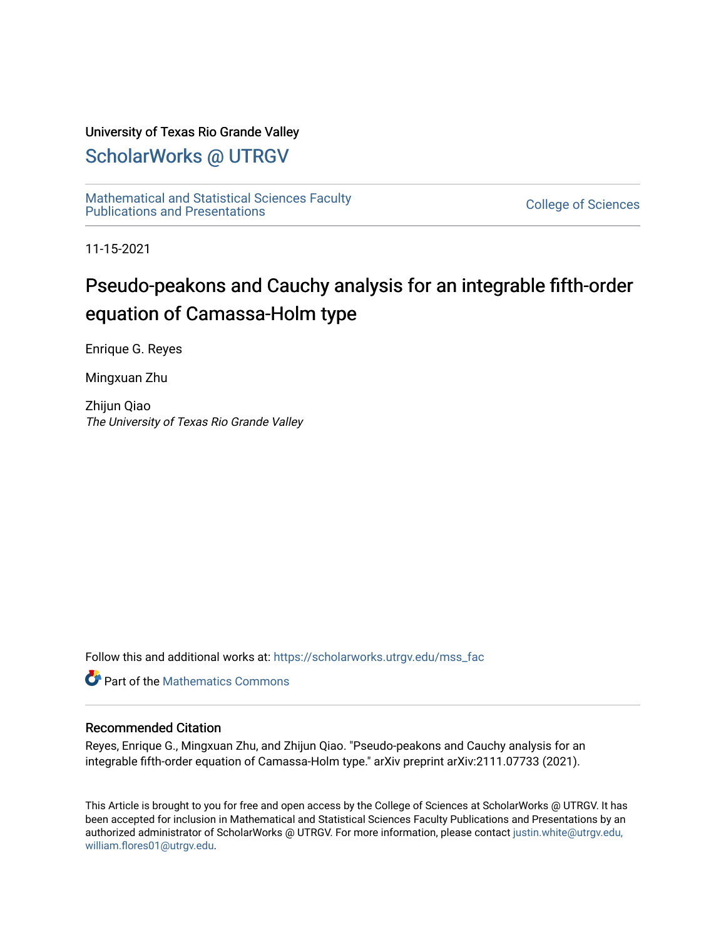### University of Texas Rio Grande Valley

### [ScholarWorks @ UTRGV](https://scholarworks.utrgv.edu/)

[Mathematical and Statistical Sciences Faculty](https://scholarworks.utrgv.edu/mss_fac)  mathematical and Statistical Sciences Faculty<br>Publications and Presentations

11-15-2021

# Pseudo-peakons and Cauchy analysis for an integrable fifth-order equation of Camassa-Holm type

Enrique G. Reyes

Mingxuan Zhu

Zhijun Qiao The University of Texas Rio Grande Valley

Follow this and additional works at: [https://scholarworks.utrgv.edu/mss\\_fac](https://scholarworks.utrgv.edu/mss_fac?utm_source=scholarworks.utrgv.edu%2Fmss_fac%2F266&utm_medium=PDF&utm_campaign=PDFCoverPages) 

**C** Part of the [Mathematics Commons](http://network.bepress.com/hgg/discipline/174?utm_source=scholarworks.utrgv.edu%2Fmss_fac%2F266&utm_medium=PDF&utm_campaign=PDFCoverPages)

#### Recommended Citation

Reyes, Enrique G., Mingxuan Zhu, and Zhijun Qiao. "Pseudo-peakons and Cauchy analysis for an integrable fifth-order equation of Camassa-Holm type." arXiv preprint arXiv:2111.07733 (2021).

This Article is brought to you for free and open access by the College of Sciences at ScholarWorks @ UTRGV. It has been accepted for inclusion in Mathematical and Statistical Sciences Faculty Publications and Presentations by an authorized administrator of ScholarWorks @ UTRGV. For more information, please contact [justin.white@utrgv.edu,](mailto:justin.white@utrgv.edu,%20william.flores01@utrgv.edu)  [william.flores01@utrgv.edu](mailto:justin.white@utrgv.edu,%20william.flores01@utrgv.edu).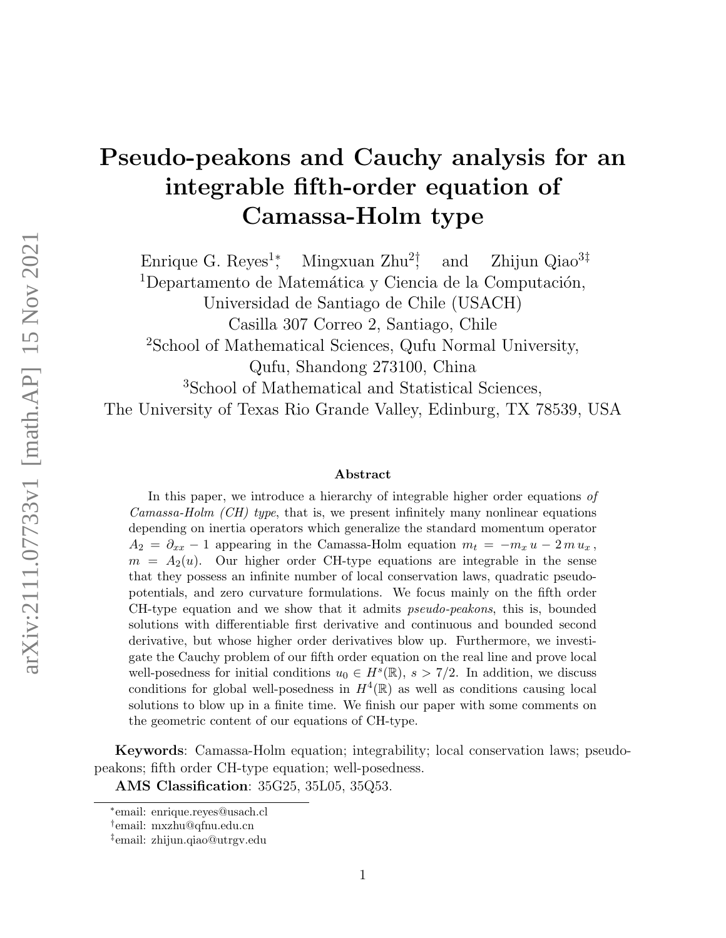# Pseudo-peakons and Cauchy analysis for an integrable fifth-order equation of Camassa-Holm type

Enrique G. Reyes<sup>1</sup><sup>\*</sup>, Mingxuan  $\rm Zhu^2$ ! and  $\lambda$  Zhijun Qiao<sup>3‡</sup> <sup>1</sup>Departamento de Matemática y Ciencia de la Computación,

Universidad de Santiago de Chile (USACH)

Casilla 307 Correo 2, Santiago, Chile

<sup>2</sup>School of Mathematical Sciences, Qufu Normal University,

Qufu, Shandong 273100, China

<sup>3</sup>School of Mathematical and Statistical Sciences,

The University of Texas Rio Grande Valley, Edinburg, TX 78539, USA

#### Abstract

In this paper, we introduce a hierarchy of integrable higher order equations of *Camassa-Holm (CH) type*, that is, we present infinitely many nonlinear equations depending on inertia operators which generalize the standard momentum operator  $A_2 = \partial_{xx} - 1$  appearing in the Camassa-Holm equation  $m_t = -m_x u - 2m u_x$ ,  $m = A_2(u)$ . Our higher order CH-type equations are integrable in the sense that they possess an infinite number of local conservation laws, quadratic pseudopotentials, and zero curvature formulations. We focus mainly on the fifth order CH-type equation and we show that it admits pseudo-peakons, this is, bounded solutions with differentiable first derivative and continuous and bounded second derivative, but whose higher order derivatives blow up. Furthermore, we investigate the Cauchy problem of our fifth order equation on the real line and prove local well-posedness for initial conditions  $u_0 \in H^s(\mathbb{R}), s > 7/2$ . In addition, we discuss conditions for global well-posedness in  $H^4(\mathbb{R})$  as well as conditions causing local solutions to blow up in a finite time. We finish our paper with some comments on the geometric content of our equations of CH-type.

Keywords: Camassa-Holm equation; integrability; local conservation laws; pseudopeakons; fifth order CH-type equation; well-posedness.

AMS Classification: 35G25, 35L05, 35Q53.

<sup>∗</sup> email: enrique.reyes@usach.cl

<sup>†</sup> email: mxzhu@qfnu.edu.cn

<sup>‡</sup> email: zhijun.qiao@utrgv.edu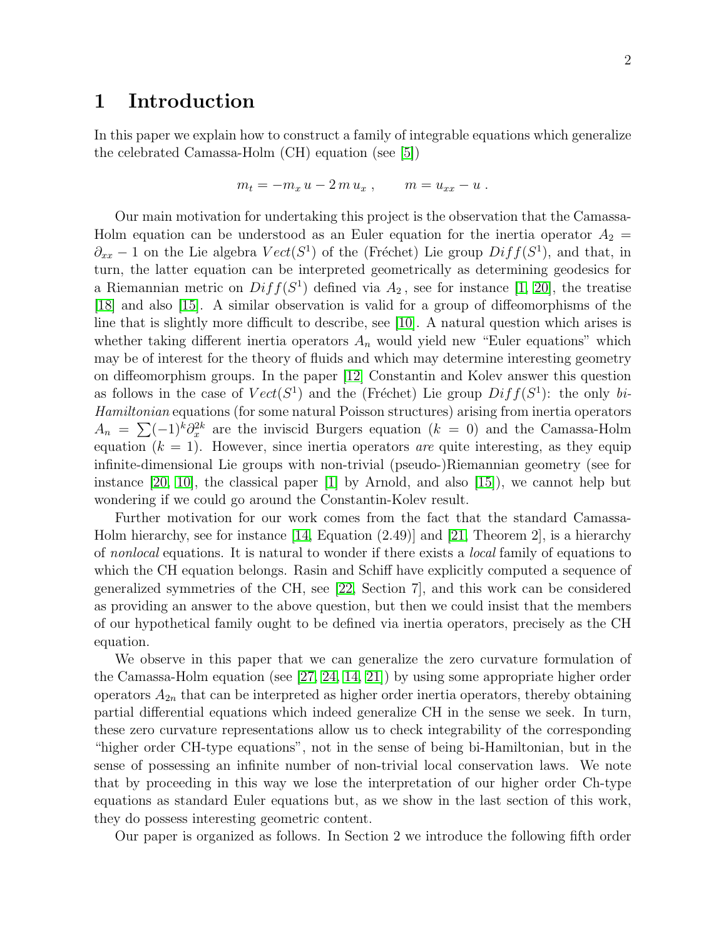### 1 Introduction

In this paper we explain how to construct a family of integrable equations which generalize the celebrated Camassa-Holm (CH) equation (see [\[5\]](#page-28-0))

$$
m_t = -m_x u - 2m u_x , \qquad m = u_{xx} - u .
$$

Our main motivation for undertaking this project is the observation that the Camassa-Holm equation can be understood as an Euler equation for the inertia operator  $A_2 =$  $\partial_{xx}$  – 1 on the Lie algebra  $Vect(S^1)$  of the (Fréchet) Lie group  $Diff(S^1)$ , and that, in turn, the latter equation can be interpreted geometrically as determining geodesics for a Riemannian metric on  $Diff(S^1)$  defined via  $A_2$ , see for instance [\[1,](#page-28-1) [20\]](#page-29-0), the treatise [\[18\]](#page-29-1) and also [\[15\]](#page-29-2). A similar observation is valid for a group of diffeomorphisms of the line that is slightly more difficult to describe, see [\[10\]](#page-29-3). A natural question which arises is whether taking different inertia operators  $A_n$  would yield new "Euler equations" which may be of interest for the theory of fluids and which may determine interesting geometry on diffeomorphism groups. In the paper [\[12\]](#page-29-4) Constantin and Kolev answer this question as follows in the case of  $Vect(S^1)$  and the (Fréchet) Lie group  $Diff(S^1)$ : the only bi-Hamiltonian equations (for some natural Poisson structures) arising from inertia operators  $A_n = \sum_{k=1}^{\infty} (-1)^k \partial_x^{2k}$  are the inviscid Burgers equation  $(k = 0)$  and the Camassa-Holm equation  $(k = 1)$ . However, since inertia operators are quite interesting, as they equip infinite-dimensional Lie groups with non-trivial (pseudo-)Riemannian geometry (see for instance [\[20,](#page-29-0) [10\]](#page-29-3), the classical paper [\[1\]](#page-28-1) by Arnold, and also [\[15\]](#page-29-2)), we cannot help but wondering if we could go around the Constantin-Kolev result.

Further motivation for our work comes from the fact that the standard Camassa-Holm hierarchy, see for instance [\[14,](#page-29-5) Equation (2.49)] and [\[21,](#page-29-6) Theorem 2], is a hierarchy of *nonlocal* equations. It is natural to wonder if there exists a *local* family of equations to which the CH equation belongs. Rasin and Schiff have explicitly computed a sequence of generalized symmetries of the CH, see [\[22,](#page-29-7) Section 7], and this work can be considered as providing an answer to the above question, but then we could insist that the members of our hypothetical family ought to be defined via inertia operators, precisely as the CH equation.

We observe in this paper that we can generalize the zero curvature formulation of the Camassa-Holm equation (see [\[27,](#page-30-0) [24,](#page-29-8) [14,](#page-29-5) [21\]](#page-29-6)) by using some appropriate higher order operators  $A_{2n}$  that can be interpreted as higher order inertia operators, thereby obtaining partial differential equations which indeed generalize CH in the sense we seek. In turn, these zero curvature representations allow us to check integrability of the corresponding "higher order CH-type equations", not in the sense of being bi-Hamiltonian, but in the sense of possessing an infinite number of non-trivial local conservation laws. We note that by proceeding in this way we lose the interpretation of our higher order Ch-type equations as standard Euler equations but, as we show in the last section of this work, they do possess interesting geometric content.

Our paper is organized as follows. In Section 2 we introduce the following fifth order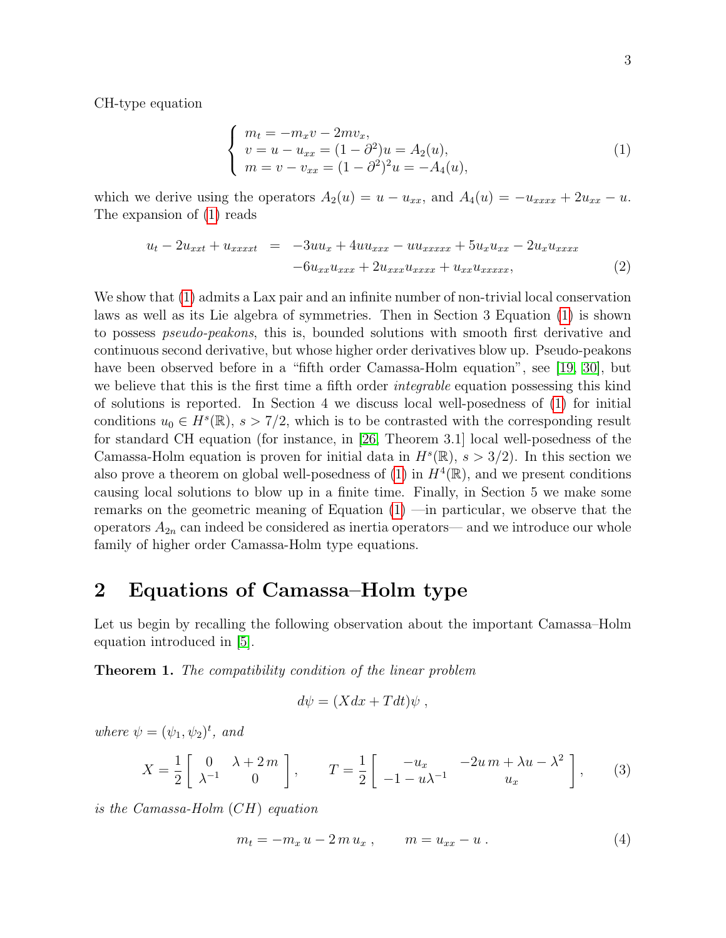CH-type equation

<span id="page-3-0"></span>
$$
\begin{cases}\n m_t = -m_x v - 2mv_x, \\
v = u - u_{xx} = (1 - \partial^2)u = A_2(u), \\
m = v - v_{xx} = (1 - \partial^2)^2 u = -A_4(u),\n\end{cases}
$$
\n(1)

which we derive using the operators  $A_2(u) = u - u_{xx}$ , and  $A_4(u) = -u_{xxxx} + 2u_{xx} - u$ . The expansion of [\(1\)](#page-3-0) reads

<span id="page-3-3"></span>
$$
u_t - 2u_{xxt} + u_{xxxx} = -3uu_x + 4uu_{xxx} - uu_{xxxxx} + 5u_xu_{xx} - 2u_xu_{xxxx}
$$
  
-6u\_{xx}u\_{xxx} + 2u\_{xxx}u\_{xxxx} + u\_{xx}u\_{xxxxx}, (2)

We show that [\(1\)](#page-3-0) admits a Lax pair and an infinite number of non-trivial local conservation laws as well as its Lie algebra of symmetries. Then in Section 3 Equation [\(1\)](#page-3-0) is shown to possess *pseudo-peakons*, this is, bounded solutions with smooth first derivative and continuous second derivative, but whose higher order derivatives blow up. Pseudo-peakons have been observed before in a "fifth order Camassa-Holm equation", see [\[19,](#page-29-9) [30\]](#page-30-1), but we believe that this is the first time a fifth order *integrable* equation possessing this kind of solutions is reported. In Section 4 we discuss local well-posedness of [\(1\)](#page-3-0) for initial conditions  $u_0 \in H^s(\mathbb{R}), s > 7/2$ , which is to be contrasted with the corresponding result for standard CH equation (for instance, in [\[26,](#page-30-2) Theorem 3.1] local well-posedness of the Camassa-Holm equation is proven for initial data in  $H^s(\mathbb{R})$ ,  $s > 3/2$ ). In this section we also prove a theorem on global well-posedness of  $(1)$  in  $H^4(\mathbb{R})$ , and we present conditions causing local solutions to blow up in a finite time. Finally, in Section 5 we make some remarks on the geometric meaning of Equation [\(1\)](#page-3-0) —in particular, we observe that the operators  $A_{2n}$  can indeed be considered as inertia operators— and we introduce our whole family of higher order Camassa-Holm type equations.

# 2 Equations of Camassa–Holm type

Let us begin by recalling the following observation about the important Camassa–Holm equation introduced in [\[5\]](#page-28-0).

**Theorem 1.** The compatibility condition of the linear problem

$$
d\psi = (Xdx + Tdt)\psi ,
$$

where  $\psi = (\psi_1, \psi_2)^t$ , and

<span id="page-3-2"></span>
$$
X = \frac{1}{2} \begin{bmatrix} 0 & \lambda + 2m \\ \lambda^{-1} & 0 \end{bmatrix}, \qquad T = \frac{1}{2} \begin{bmatrix} -u_x & -2u \, m + \lambda u - \lambda^2 \\ -1 - u \lambda^{-1} & u_x \end{bmatrix}, \tag{3}
$$

is the Camassa-Holm (CH) equation

<span id="page-3-1"></span>
$$
m_t = -m_x u - 2m u_x , \t m = u_{xx} - u . \t (4)
$$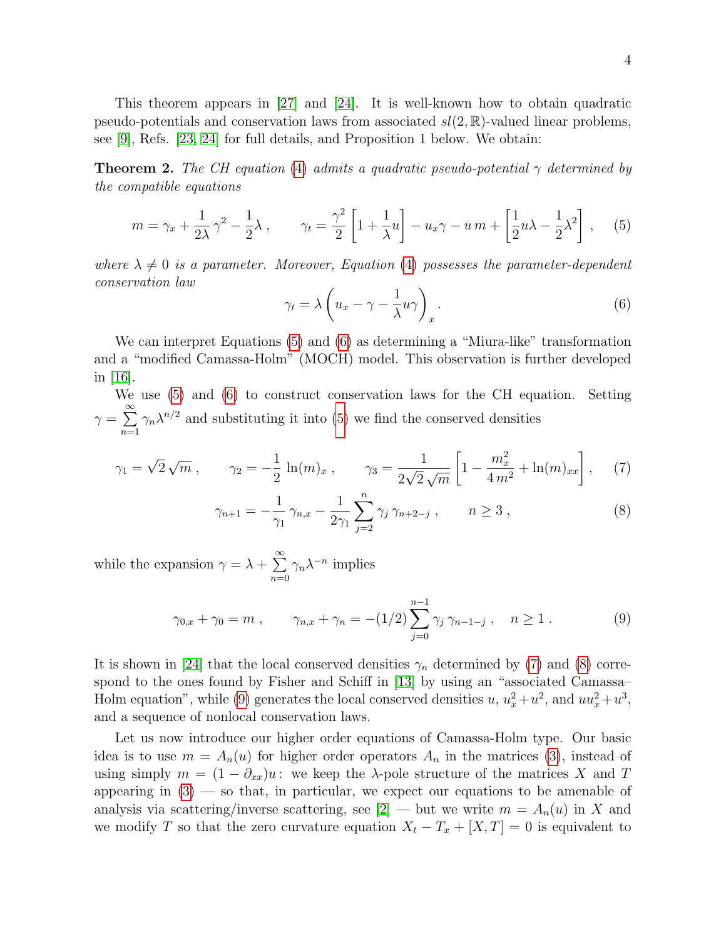This theorem appears in [\[27\]](#page-30-0) and [\[24\]](#page-29-8). It is well-known how to obtain quadratic pseudo-potentials and conservation laws from associated  $sl(2,\mathbb{R})$ -valued linear problems, see [\[9\]](#page-29-10), Refs. [\[23,](#page-29-11) [24\]](#page-29-8) for full details, and Proposition 1 below. We obtain:

**Theorem 2.** The CH equation [\(4\)](#page-3-1) admits a quadratic pseudo-potential  $\gamma$  determined by the compatible equations

<span id="page-4-0"></span>
$$
m = \gamma_x + \frac{1}{2\lambda}\gamma^2 - \frac{1}{2}\lambda , \qquad \gamma_t = \frac{\gamma^2}{2} \left[ 1 + \frac{1}{\lambda}u \right] - u_x\gamma - u_m + \left[ \frac{1}{2}u\lambda - \frac{1}{2}\lambda^2 \right] , \tag{5}
$$

where  $\lambda \neq 0$  is a parameter. Moreover, Equation [\(4\)](#page-3-1) possesses the parameter-dependent conservation law

<span id="page-4-3"></span><span id="page-4-2"></span><span id="page-4-1"></span>
$$
\gamma_t = \lambda \left( u_x - \gamma - \frac{1}{\lambda} u \gamma \right)_x.
$$
\n(6)

We can interpret Equations [\(5\)](#page-4-0) and [\(6\)](#page-4-1) as determining a "Miura-like" transformation and a "modified Camassa-Holm" (MOCH) model. This observation is further developed in [\[16\]](#page-29-12).

We use [\(5\)](#page-4-0) and [\(6\)](#page-4-1) to construct conservation laws for the CH equation. Setting  $\gamma = \sum^{\infty}$  $n=1$  $\gamma_n \lambda^{n/2}$  and substituting it into [\(5\)](#page-4-0) we find the conserved densities

$$
\gamma_1 = \sqrt{2}\sqrt{m}
$$
,  $\gamma_2 = -\frac{1}{2}\ln(m)_x$ ,  $\gamma_3 = \frac{1}{2\sqrt{2}\sqrt{m}}\left[1 - \frac{m_x^2}{4m^2} + \ln(m)_{xx}\right]$ , (7)

$$
\gamma_{n+1} = -\frac{1}{\gamma_1} \gamma_{n,x} - \frac{1}{2\gamma_1} \sum_{j=2}^n \gamma_j \gamma_{n+2-j} , \qquad n \ge 3 , \qquad (8)
$$

while the expansion  $\gamma = \lambda + \sum_{n=1}^{\infty}$  $n=0$  $\gamma_n \lambda^{-n}$  implies

<span id="page-4-4"></span>
$$
\gamma_{0,x} + \gamma_0 = m , \qquad \gamma_{n,x} + \gamma_n = -(1/2) \sum_{j=0}^{n-1} \gamma_j \gamma_{n-1-j} , \quad n \ge 1 . \tag{9}
$$

It is shown in [\[24\]](#page-29-8) that the local conserved densities  $\gamma_n$  determined by [\(7\)](#page-4-2) and [\(8\)](#page-4-3) correspond to the ones found by Fisher and Schiff in [\[13\]](#page-29-13) by using an "associated Camassa– Holm equation", while [\(9\)](#page-4-4) generates the local conserved densities  $u, u_x^2 + u^2$ , and  $uu_x^2 + u^3$ , and a sequence of nonlocal conservation laws.

Let us now introduce our higher order equations of Camassa-Holm type. Our basic idea is to use  $m = A_n(u)$  for higher order operators  $A_n$  in the matrices [\(3\)](#page-3-2), instead of using simply  $m = (1 - \partial_{xx})u$ : we keep the  $\lambda$ -pole structure of the matrices X and T appearing in  $(3)$  — so that, in particular, we expect our equations to be amenable of analysis via scattering/inverse scattering, see  $[2]$  — but we write  $m = A_n(u)$  in X and we modify T so that the zero curvature equation  $X_t - T_x + [X,T] = 0$  is equivalent to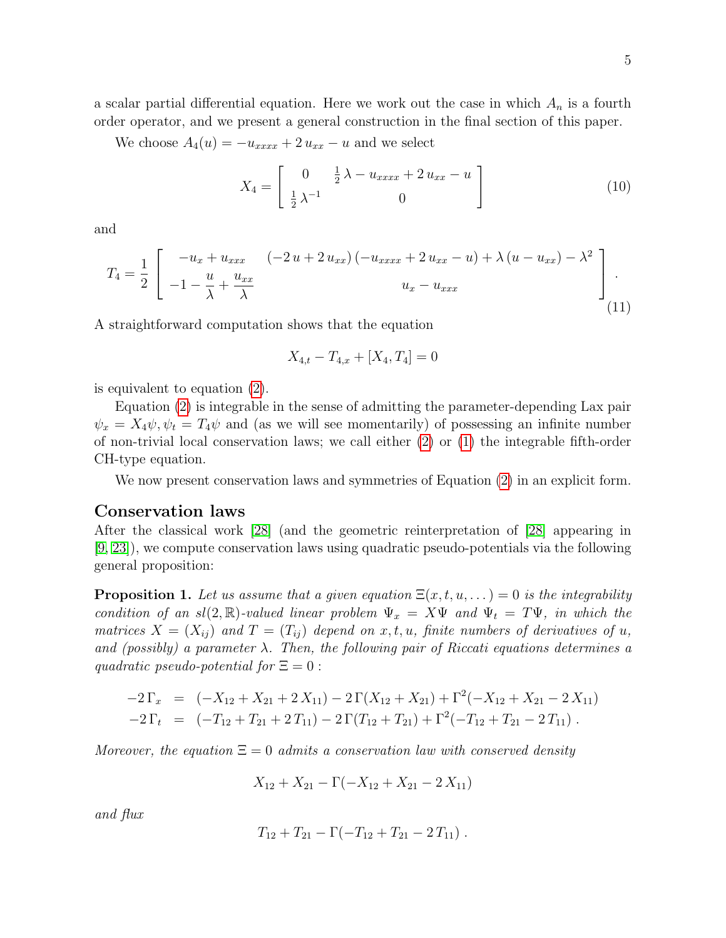a scalar partial differential equation. Here we work out the case in which  $A_n$  is a fourth order operator, and we present a general construction in the final section of this paper.

We choose  $A_4(u) = -u_{xxxx} + 2 u_{xx} - u$  and we select

<span id="page-5-0"></span>
$$
X_4 = \begin{bmatrix} 0 & \frac{1}{2}\lambda - u_{xxxx} + 2u_{xx} - u \\ \frac{1}{2}\lambda^{-1} & 0 \end{bmatrix}
$$
 (10)

and

<span id="page-5-1"></span>
$$
T_4 = \frac{1}{2} \begin{bmatrix} -u_x + u_{xxx} & (-2u + 2u_{xx}) (-u_{xxxx} + 2u_{xx} - u) + \lambda (u - u_{xx}) - \lambda^2 \\ -1 - \frac{u}{\lambda} + \frac{u_{xx}}{\lambda} & u_x - u_{xxx} \end{bmatrix} .
$$
\n(11)

A straightforward computation shows that the equation

$$
X_{4,t} - T_{4,x} + [X_4, T_4] = 0
$$

is equivalent to equation [\(2\)](#page-3-3).

Equation [\(2\)](#page-3-3) is integrable in the sense of admitting the parameter-depending Lax pair  $\psi_x = X_4 \psi, \psi_t = T_4 \psi$  and (as we will see momentarily) of possessing an infinite number of non-trivial local conservation laws; we call either [\(2\)](#page-3-3) or [\(1\)](#page-3-0) the integrable fifth-order CH-type equation.

We now present conservation laws and symmetries of Equation [\(2\)](#page-3-3) in an explicit form.

#### Conservation laws

After the classical work [\[28\]](#page-30-3) (and the geometric reinterpretation of [\[28\]](#page-30-3) appearing in [\[9,](#page-29-10) [23\]](#page-29-11)), we compute conservation laws using quadratic pseudo-potentials via the following general proposition:

**Proposition 1.** Let us assume that a given equation  $\Xi(x, t, u, \dots) = 0$  is the integrability condition of an sl(2, R)-valued linear problem  $\Psi_x = X\Psi$  and  $\Psi_t = T\Psi$ , in which the matrices  $X = (X_{ij})$  and  $T = (T_{ij})$  depend on x, t, u, finite numbers of derivatives of u, and (possibly) a parameter  $\lambda$ . Then, the following pair of Riccati equations determines a quadratic pseudo-potential for  $\Xi = 0$ :

$$
-2\Gamma_x = (-X_{12} + X_{21} + 2X_{11}) - 2\Gamma(X_{12} + X_{21}) + \Gamma^2(-X_{12} + X_{21} - 2X_{11})
$$
  

$$
-2\Gamma_t = (-T_{12} + T_{21} + 2T_{11}) - 2\Gamma(T_{12} + T_{21}) + \Gamma^2(-T_{12} + T_{21} - 2T_{11}).
$$

Moreover, the equation  $\Xi = 0$  admits a conservation law with conserved density

$$
X_{12} + X_{21} - \Gamma(-X_{12} + X_{21} - 2 X_{11})
$$

and flux

$$
T_{12}+T_{21}-\Gamma(-T_{12}+T_{21}-2T_{11}).
$$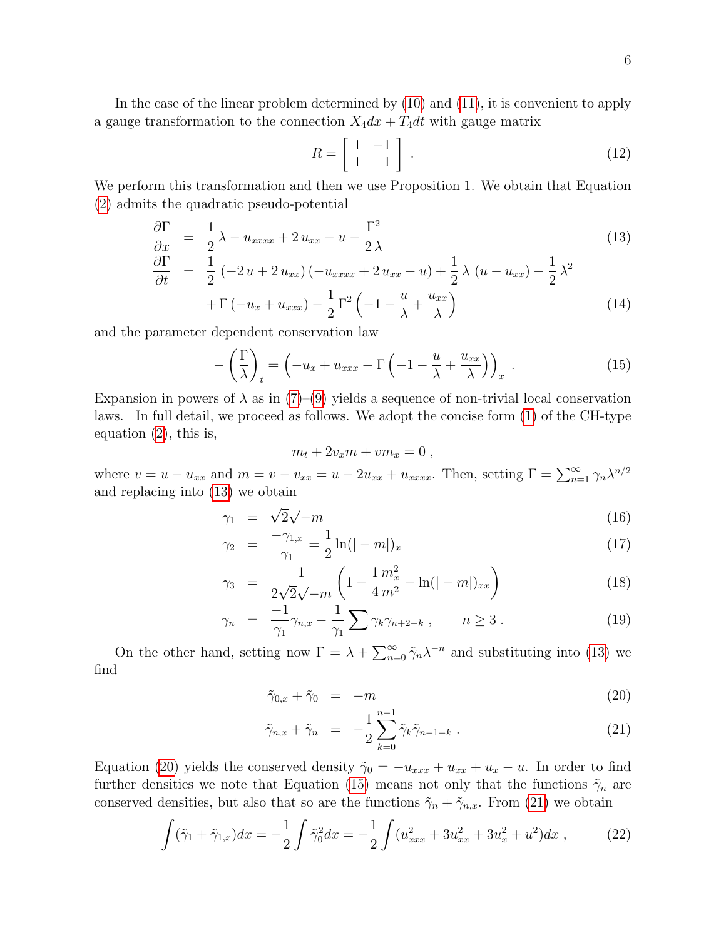In the case of the linear problem determined by [\(10\)](#page-5-0) and [\(11\)](#page-5-1), it is convenient to apply a gauge transformation to the connection  $X_4dx + T_4dt$  with gauge matrix

<span id="page-6-4"></span>
$$
R = \left[ \begin{array}{cc} 1 & -1 \\ 1 & 1 \end{array} \right] \tag{12}
$$

We perform this transformation and then we use Proposition 1. We obtain that Equation [\(2\)](#page-3-3) admits the quadratic pseudo-potential

<span id="page-6-0"></span>
$$
\frac{\partial \Gamma}{\partial x} = \frac{1}{2}\lambda - u_{xxxx} + 2u_{xx} - u - \frac{\Gamma^2}{2\lambda}
$$
\n
$$
\frac{\partial \Gamma}{\partial t} = \frac{1}{2}(-2u + 2u_{xx})(-u_{xxxx} + 2u_{xx} - u) + \frac{1}{2}\lambda (u - u_{xx}) - \frac{1}{2}\lambda^2
$$
\n
$$
+ \Gamma(-u_x + u_{xxx}) - \frac{1}{2}\Gamma^2(-1 - \frac{u}{\lambda} + \frac{u_{xx}}{\lambda})
$$
\n(14)

and the parameter dependent conservation law

<span id="page-6-2"></span>
$$
-\left(\frac{\Gamma}{\lambda}\right)_t = \left(-u_x + u_{xxx} - \Gamma\left(-1 - \frac{u}{\lambda} + \frac{u_{xx}}{\lambda}\right)\right)_x. \tag{15}
$$

Expansion in powers of  $\lambda$  as in [\(7\)](#page-4-2)–[\(9\)](#page-4-4) yields a sequence of non-trivial local conservation laws. In full detail, we proceed as follows. We adopt the concise form [\(1\)](#page-3-0) of the CH-type equation [\(2\)](#page-3-3), this is,

$$
m_t + 2v_x m + v m_x = 0,
$$

where  $v = u - u_{xx}$  and  $m = v - v_{xx} = u - 2u_{xx} + u_{xxxx}$ . Then, setting  $\Gamma = \sum_{n=1}^{\infty} \gamma_n \lambda^{n/2}$ and replacing into [\(13\)](#page-6-0) we obtain

<span id="page-6-3"></span>
$$
\gamma_1 = \sqrt{2}\sqrt{-m} \tag{16}
$$

$$
\gamma_2 = \frac{-\gamma_{1,x}}{\gamma_1} = \frac{1}{2}\ln(|-m|)_x \tag{17}
$$

$$
\gamma_3 = \frac{1}{2\sqrt{2}\sqrt{-m}} \left( 1 - \frac{1}{4} \frac{m_x^2}{m^2} - \ln(|-m|)_{xx} \right) \tag{18}
$$

$$
\gamma_n = \frac{-1}{\gamma_1} \gamma_{n,x} - \frac{1}{\gamma_1} \sum \gamma_k \gamma_{n+2-k} , \qquad n \ge 3 . \tag{19}
$$

On the other hand, setting now  $\Gamma = \lambda + \sum_{n=0}^{\infty} \tilde{\gamma}_n \lambda^{-n}$  and substituting into [\(13\)](#page-6-0) we find

<span id="page-6-1"></span>
$$
\tilde{\gamma}_{0,x} + \tilde{\gamma}_0 = -m \tag{20}
$$

$$
\tilde{\gamma}_{n,x} + \tilde{\gamma}_n = -\frac{1}{2} \sum_{k=0}^{n-1} \tilde{\gamma}_k \tilde{\gamma}_{n-1-k} . \qquad (21)
$$

Equation [\(20\)](#page-6-1) yields the conserved density  $\tilde{\gamma}_0 = -u_{xxx} + u_{xx} + u_x - u$ . In order to find further densities we note that Equation [\(15\)](#page-6-2) means not only that the functions  $\tilde{\gamma}_n$  are conserved densities, but also that so are the functions  $\tilde{\gamma}_n + \tilde{\gamma}_{n,x}$ . From [\(21\)](#page-6-1) we obtain

$$
\int (\tilde{\gamma}_1 + \tilde{\gamma}_{1,x}) dx = -\frac{1}{2} \int \tilde{\gamma}_0^2 dx = -\frac{1}{2} \int (u_{xxx}^2 + 3u_{xx}^2 + 3u_x^2 + u^2) dx , \qquad (22)
$$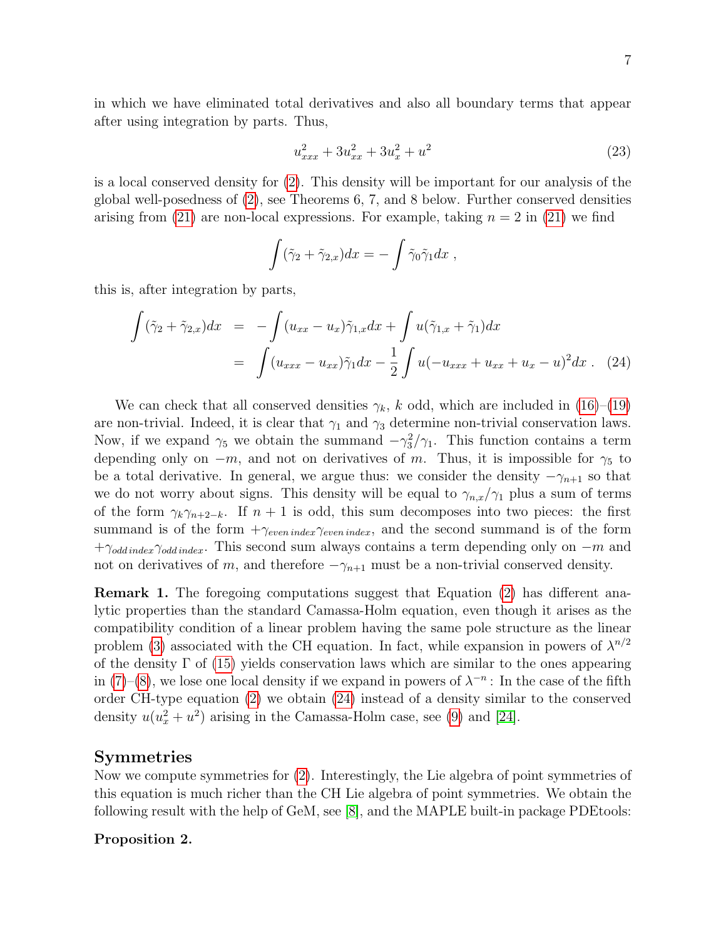in which we have eliminated total derivatives and also all boundary terms that appear after using integration by parts. Thus,

$$
u_{xxx}^2 + 3u_{xx}^2 + 3u_x^2 + u^2 \tag{23}
$$

is a local conserved density for [\(2\)](#page-3-3). This density will be important for our analysis of the global well-posedness of [\(2\)](#page-3-3), see Theorems 6, 7, and 8 below. Further conserved densities arising from [\(21\)](#page-6-1) are non-local expressions. For example, taking  $n = 2$  in (21) we find

$$
\int (\tilde{\gamma}_2 + \tilde{\gamma}_{2,x}) dx = - \int \tilde{\gamma}_0 \tilde{\gamma}_1 dx ,
$$

this is, after integration by parts,

<span id="page-7-0"></span>
$$
\int (\tilde{\gamma}_2 + \tilde{\gamma}_{2,x}) dx = -\int (u_{xx} - u_x) \tilde{\gamma}_{1,x} dx + \int u(\tilde{\gamma}_{1,x} + \tilde{\gamma}_1) dx
$$

$$
= \int (u_{xxx} - u_{xx}) \tilde{\gamma}_1 dx - \frac{1}{2} \int u(-u_{xxx} + u_{xx} + u_x - u)^2 dx . \quad (24)
$$

We can check that all conserved densities  $\gamma_k$ , k odd, which are included in [\(16\)](#page-6-3)–[\(19\)](#page-6-3) are non-trivial. Indeed, it is clear that  $\gamma_1$  and  $\gamma_3$  determine non-trivial conservation laws. Now, if we expand  $\gamma_5$  we obtain the summand  $-\gamma_3^2/\gamma_1$ . This function contains a term depending only on  $-m$ , and not on derivatives of m. Thus, it is impossible for  $\gamma_5$  to be a total derivative. In general, we argue thus: we consider the density  $-\gamma_{n+1}$  so that we do not worry about signs. This density will be equal to  $\gamma_{n,x}/\gamma_1$  plus a sum of terms of the form  $\gamma_k \gamma_{n+2-k}$ . If  $n+1$  is odd, this sum decomposes into two pieces: the first summand is of the form  $+\gamma_{even\,index}\gamma_{even\,index}$ , and the second summand is of the form  $+\gamma_{odd\,index}\gamma_{odd\,index}$ . This second sum always contains a term depending only on  $-m$  and not on derivatives of m, and therefore  $-\gamma_{n+1}$  must be a non-trivial conserved density.

Remark 1. The foregoing computations suggest that Equation [\(2\)](#page-3-3) has different analytic properties than the standard Camassa-Holm equation, even though it arises as the compatibility condition of a linear problem having the same pole structure as the linear problem [\(3\)](#page-3-2) associated with the CH equation. In fact, while expansion in powers of  $\lambda^{n/2}$ of the density  $\Gamma$  of [\(15\)](#page-6-2) yields conservation laws which are similar to the ones appearing in [\(7\)](#page-4-2)–[\(8\)](#page-4-3), we lose one local density if we expand in powers of  $\lambda^{-n}$ : In the case of the fifth order CH-type equation [\(2\)](#page-3-3) we obtain [\(24\)](#page-7-0) instead of a density similar to the conserved density  $u(u_x^2 + u^2)$  arising in the Camassa-Holm case, see [\(9\)](#page-4-4) and [\[24\]](#page-29-8).

### Symmetries

Now we compute symmetries for [\(2\)](#page-3-3). Interestingly, the Lie algebra of point symmetries of this equation is much richer than the CH Lie algebra of point symmetries. We obtain the following result with the help of GeM, see [\[8\]](#page-29-14), and the MAPLE built-in package PDEtools:

#### Proposition 2.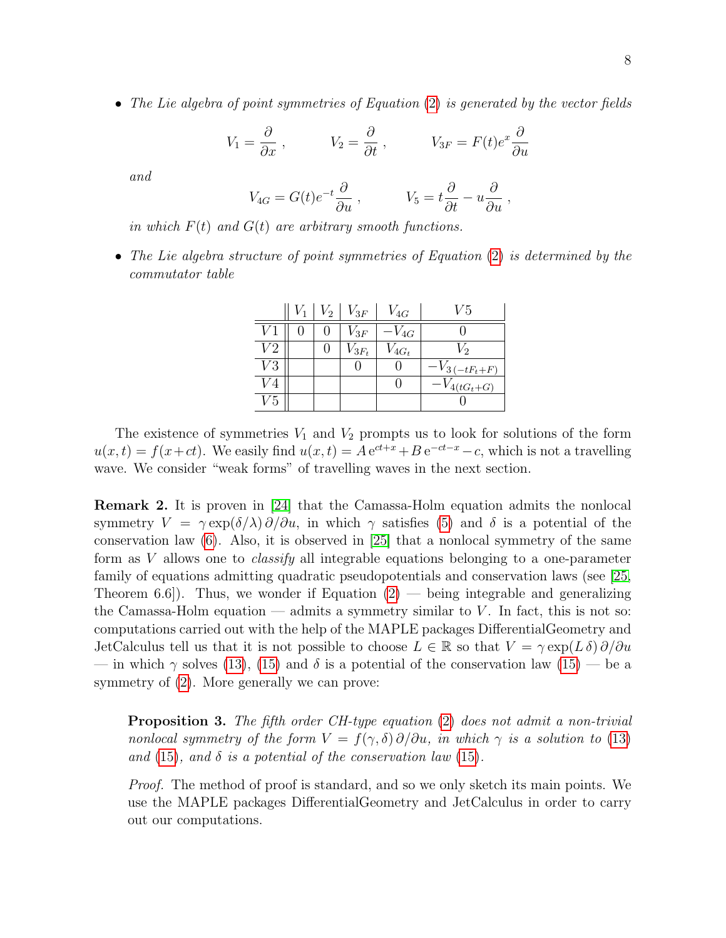• The Lie algebra of point symmetries of Equation [\(2\)](#page-3-3) is generated by the vector fields

$$
V_1 = \frac{\partial}{\partial x}
$$
,  $V_2 = \frac{\partial}{\partial t}$ ,  $V_{3F} = F(t)e^x \frac{\partial}{\partial u}$ 

and

$$
V_{4G} = G(t)e^{-t}\frac{\partial}{\partial u}, \qquad V_5 = t\frac{\partial}{\partial t} - u\frac{\partial}{\partial u},
$$

in which  $F(t)$  and  $G(t)$  are arbitrary smooth functions.

• The Lie algebra structure of point symmetries of Equation [\(2\)](#page-3-3) is determined by the commutator table

|                 | $V_1$ | $ V_2 V_{3F}$ | $V_{4G}$   | V5                  |
|-----------------|-------|---------------|------------|---------------------|
|                 |       | $V_{3F}$      | $-V_{4G}$  |                     |
| V2              |       | $V_{3F_t}$    | $V_{4G_t}$ | $V_2$               |
| V3              |       |               |            | $-V_{3(-tF_{t}+F)}$ |
|                 |       |               |            | $-V_{4(tG_t+G)}$    |
| $V\mskip-5mu.5$ |       |               |            |                     |

The existence of symmetries  $V_1$  and  $V_2$  prompts us to look for solutions of the form  $u(x,t) = f(x+ct)$ . We easily find  $u(x,t) = A e^{ct+x} + B e^{-ct-x} - c$ , which is not a travelling wave. We consider "weak forms" of travelling waves in the next section.

Remark 2. It is proven in [\[24\]](#page-29-8) that the Camassa-Holm equation admits the nonlocal symmetry  $V = \gamma \exp(\delta/\lambda) \partial/\partial u$ , in which  $\gamma$  satisfies [\(5\)](#page-4-0) and  $\delta$  is a potential of the conservation law  $(6)$ . Also, it is observed in [\[25\]](#page-30-4) that a nonlocal symmetry of the same form as V allows one to *classify* all integrable equations belonging to a one-parameter family of equations admitting quadratic pseudopotentials and conservation laws (see [\[25,](#page-30-4) Theorem 6.6.]. Thus, we wonder if Equation  $(2)$  — being integrable and generalizing the Camassa-Holm equation — admits a symmetry similar to  $V$ . In fact, this is not so: computations carried out with the help of the MAPLE packages DifferentialGeometry and JetCalculus tell us that it is not possible to choose  $L \in \mathbb{R}$  so that  $V = \gamma \exp(L \delta) \partial/\partial u$ — in which  $\gamma$  solves [\(13\)](#page-6-0), [\(15\)](#page-6-2) and  $\delta$  is a potential of the conservation law (15) — be a symmetry of [\(2\)](#page-3-3). More generally we can prove:

**Proposition 3.** The fifth order CH-type equation  $(2)$  does not admit a non-trivial nonlocal symmetry of the form  $V = f(\gamma, \delta) \partial/\partial u$ , in which  $\gamma$  is a solution to [\(13\)](#page-6-0) and [\(15\)](#page-6-2), and  $\delta$  is a potential of the conservation law (15).

Proof. The method of proof is standard, and so we only sketch its main points. We use the MAPLE packages DifferentialGeometry and JetCalculus in order to carry out our computations.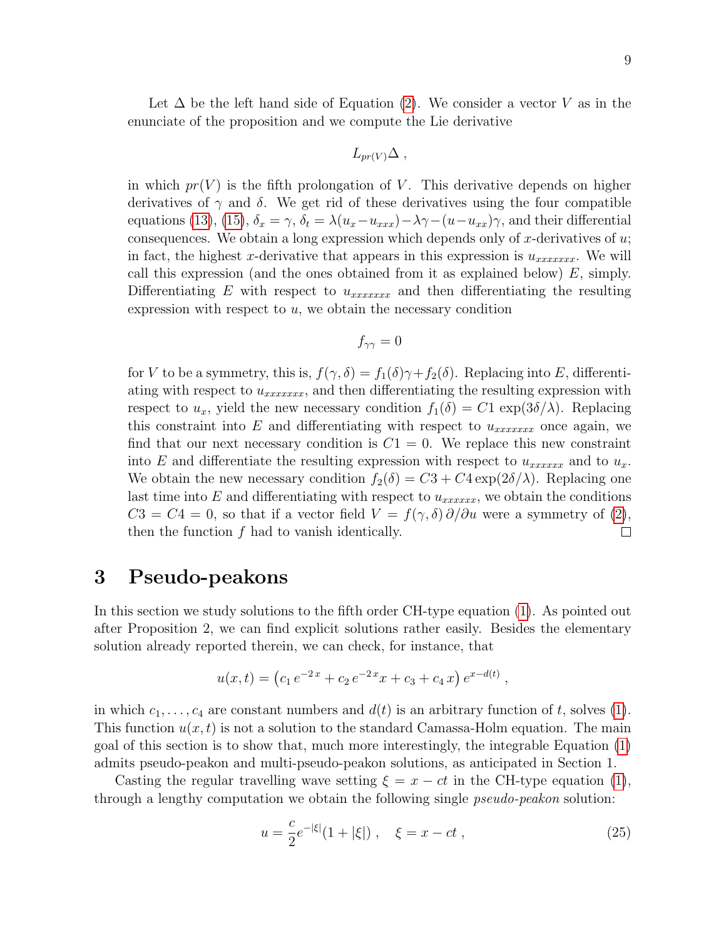Let  $\Delta$  be the left hand side of Equation [\(2\)](#page-3-3). We consider a vector V as in the enunciate of the proposition and we compute the Lie derivative

$$
L_{pr(V)}\Delta ,
$$

in which  $pr(V)$  is the fifth prolongation of V. This derivative depends on higher derivatives of  $\gamma$  and  $\delta$ . We get rid of these derivatives using the four compatible equations [\(13\)](#page-6-0), [\(15\)](#page-6-2),  $\delta_x = \gamma$ ,  $\delta_t = \lambda (u_x - u_{xxx}) - \lambda \gamma - (u - u_{xx}) \gamma$ , and their differential consequences. We obtain a long expression which depends only of x-derivatives of  $u$ ; in fact, the highest x-derivative that appears in this expression is  $u_{xxxxxx}$ . We will call this expression (and the ones obtained from it as explained below)  $E$ , simply. Differentiating  $E$  with respect to  $u_{xxxxxxx}$  and then differentiating the resulting expression with respect to  $u$ , we obtain the necessary condition

$$
f_{\gamma\gamma}=0
$$

for V to be a symmetry, this is,  $f(\gamma, \delta) = f_1(\delta)\gamma + f_2(\delta)$ . Replacing into E, differentiating with respect to  $u_{xxxxxx}$ , and then differentiating the resulting expression with respect to  $u_x$ , yield the new necessary condition  $f_1(\delta) = C1 \exp(3\delta/\lambda)$ . Replacing this constraint into E and differentiating with respect to  $u_{xxxxxx}$  once again, we find that our next necessary condition is  $C_1 = 0$ . We replace this new constraint into E and differentiate the resulting expression with respect to  $u_{xxxxxx}$  and to  $u_x$ . We obtain the new necessary condition  $f_2(\delta) = C_3 + C_4 \exp(2\delta/\lambda)$ . Replacing one last time into  $E$  and differentiating with respect to  $u_{xxxxxx}$ , we obtain the conditions  $C3 = C4 = 0$ , so that if a vector field  $V = f(\gamma, \delta) \partial/\partial u$  were a symmetry of [\(2\)](#page-3-3), then the function  $f$  had to vanish identically.  $\Box$ 

### 3 Pseudo-peakons

In this section we study solutions to the fifth order CH-type equation [\(1\)](#page-3-0). As pointed out after Proposition 2, we can find explicit solutions rather easily. Besides the elementary solution already reported therein, we can check, for instance, that

$$
u(x,t) = (c_1 e^{-2x} + c_2 e^{-2x}x + c_3 + c_4 x) e^{x-d(t)},
$$

in which  $c_1, \ldots, c_4$  are constant numbers and  $d(t)$  is an arbitrary function of t, solves [\(1\)](#page-3-0). This function  $u(x, t)$  is not a solution to the standard Camassa-Holm equation. The main goal of this section is to show that, much more interestingly, the integrable Equation [\(1\)](#page-3-0) admits pseudo-peakon and multi-pseudo-peakon solutions, as anticipated in Section 1.

Casting the regular travelling wave setting  $\xi = x - ct$  in the CH-type equation [\(1\)](#page-3-0), through a lengthy computation we obtain the following single pseudo-peakon solution:

<span id="page-9-0"></span>
$$
u = \frac{c}{2}e^{-|\xi|}(1+|\xi|), \quad \xi = x - ct,
$$
\n(25)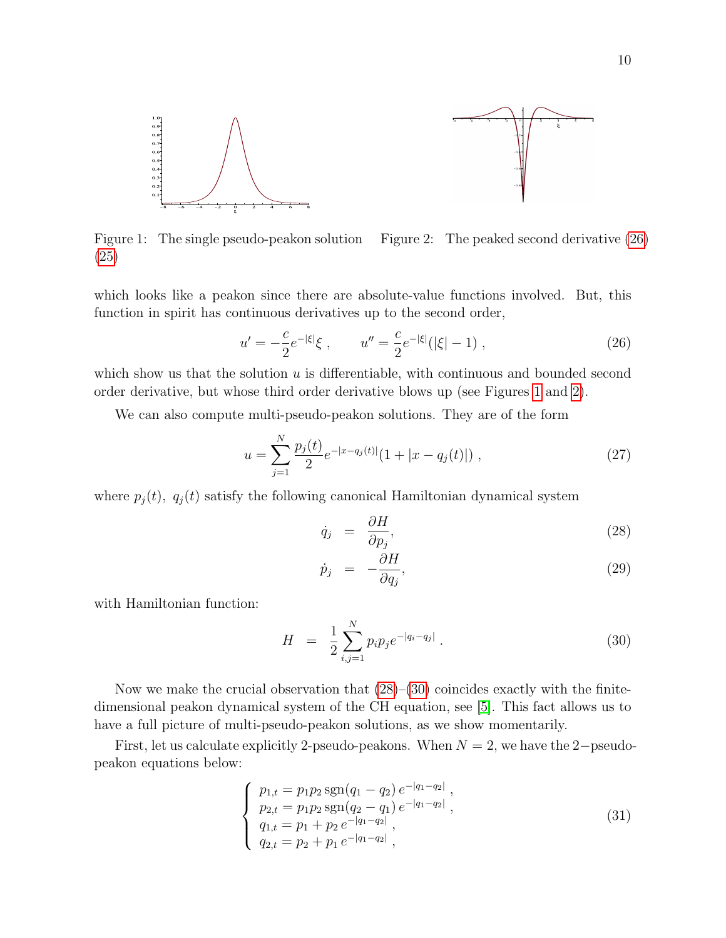

<span id="page-10-1"></span>Figure 1: The single pseudo-peakon solution [\(25\)](#page-9-0) Figure 2: The peaked second derivative [\(26\)](#page-10-0)

which looks like a peakon since there are absolute-value functions involved. But, this function in spirit has continuous derivatives up to the second order,

<span id="page-10-2"></span><span id="page-10-0"></span>
$$
u' = -\frac{c}{2}e^{-|\xi|}\xi , \qquad u'' = \frac{c}{2}e^{-|\xi|}(|\xi| - 1) , \qquad (26)
$$

which show us that the solution  $u$  is differentiable, with continuous and bounded second order derivative, but whose third order derivative blows up (see Figures [1](#page-10-1) and [2\)](#page-10-2).

We can also compute multi-pseudo-peakon solutions. They are of the form

<span id="page-10-5"></span>
$$
u = \sum_{j=1}^{N} \frac{p_j(t)}{2} e^{-|x - q_j(t)|} (1 + |x - q_j(t)|) , \qquad (27)
$$

where  $p_j(t)$ ,  $q_j(t)$  satisfy the following canonical Hamiltonian dynamical system

<span id="page-10-3"></span>
$$
\dot{q}_j = \frac{\partial H}{\partial p_j},\tag{28}
$$

$$
\dot{p}_j = -\frac{\partial H}{\partial q_j},\tag{29}
$$

with Hamiltonian function:

<span id="page-10-4"></span>
$$
H = \frac{1}{2} \sum_{i,j=1}^{N} p_i p_j e^{-|q_i - q_j|} . \tag{30}
$$

Now we make the crucial observation that  $(28)$ – $(30)$  coincides exactly with the finitedimensional peakon dynamical system of the CH equation, see [\[5\]](#page-28-0). This fact allows us to have a full picture of multi-pseudo-peakon solutions, as we show momentarily.

First, let us calculate explicitly 2-pseudo-peakons. When  $N = 2$ , we have the 2-pseudopeakon equations below:

$$
\begin{cases}\n p_{1,t} = p_1 p_2 \operatorname{sgn}(q_1 - q_2) e^{-|q_1 - q_2|}, \\
p_{2,t} = p_1 p_2 \operatorname{sgn}(q_2 - q_1) e^{-|q_1 - q_2|}, \\
q_{1,t} = p_1 + p_2 e^{-|q_1 - q_2|}, \\
q_{2,t} = p_2 + p_1 e^{-|q_1 - q_2|},\n\end{cases} (31)
$$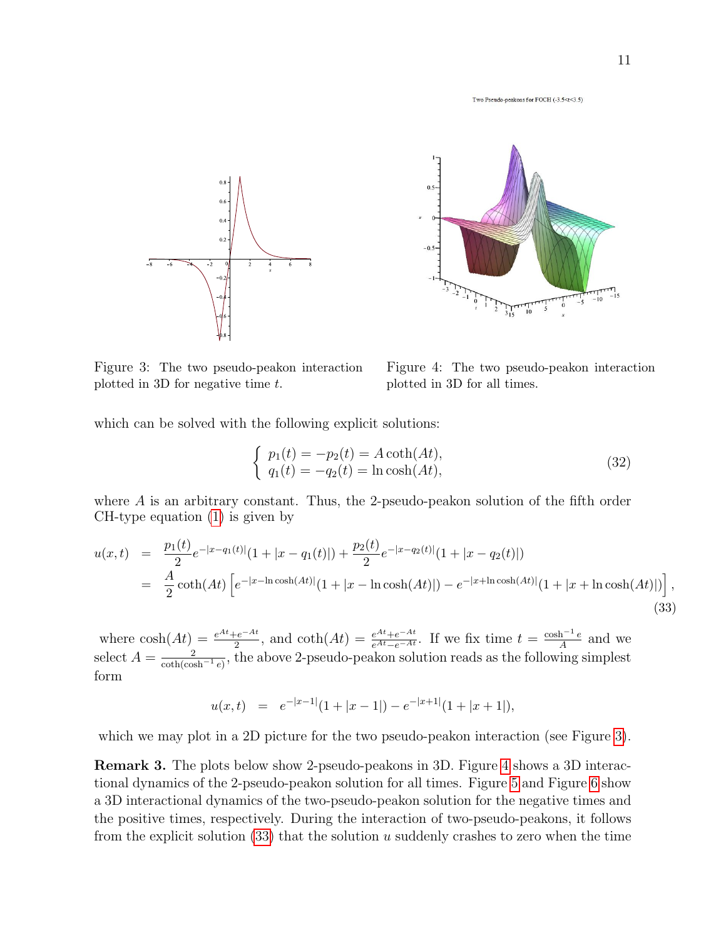Two Pseudo-peakons for FOCH (-3.5<t<3.5)





<span id="page-11-0"></span>Figure 3: The two pseudo-peakon interaction plotted in 3D for negative time  $t$ .

<span id="page-11-1"></span>Figure 4: The two pseudo-peakon interaction plotted in 3D for all times.

which can be solved with the following explicit solutions:

$$
\begin{cases}\n p_1(t) = -p_2(t) = A \coth(At), \\
q_1(t) = -q_2(t) = \ln \cosh(At),\n\end{cases}
$$
\n(32)

where A is an arbitrary constant. Thus, the 2-pseudo-peakon solution of the fifth order CH-type equation [\(1\)](#page-3-0) is given by

<span id="page-11-2"></span>
$$
u(x,t) = \frac{p_1(t)}{2}e^{-|x-q_1(t)|}(1+|x-q_1(t)|) + \frac{p_2(t)}{2}e^{-|x-q_2(t)|}(1+|x-q_2(t)|)
$$
  

$$
= \frac{A}{2}\coth(At)\left[e^{-|x-\ln\cosh(At)|}(1+|x-\ln\cosh(At)|) - e^{-|x+\ln\cosh(At)|}(1+|x+\ln\cosh(At)|)\right],
$$
(33)

where  $\cosh(At) = \frac{e^{At} + e^{-At}}{2}$  $\frac{e^{-At}}{2}$ , and  $\coth(At) = \frac{e^{At} + e^{-At}}{e^{At} - e^{-At}}$ . If we fix time  $t = \frac{\cosh^{-1} e}{A}$  $\frac{h^{-1}e}{A}$  and we select  $A = \frac{2}{\cosh(\cosh^{-1} e)}$ , the above 2-pseudo-peakon solution reads as the following simplest form

$$
u(x,t) = e^{-|x-1|}(1+|x-1|) - e^{-|x+1|}(1+|x+1|),
$$

which we may plot in a 2D picture for the two pseudo-peakon interaction (see Figure [3\)](#page-11-0).

Remark 3. The plots below show 2-pseudo-peakons in 3D. Figure [4](#page-11-1) shows a 3D interactional dynamics of the 2-pseudo-peakon solution for all times. Figure [5](#page-12-0) and Figure [6](#page-12-1) show a 3D interactional dynamics of the two-pseudo-peakon solution for the negative times and the positive times, respectively. During the interaction of two-pseudo-peakons, it follows from the explicit solution  $(33)$  that the solution u suddenly crashes to zero when the time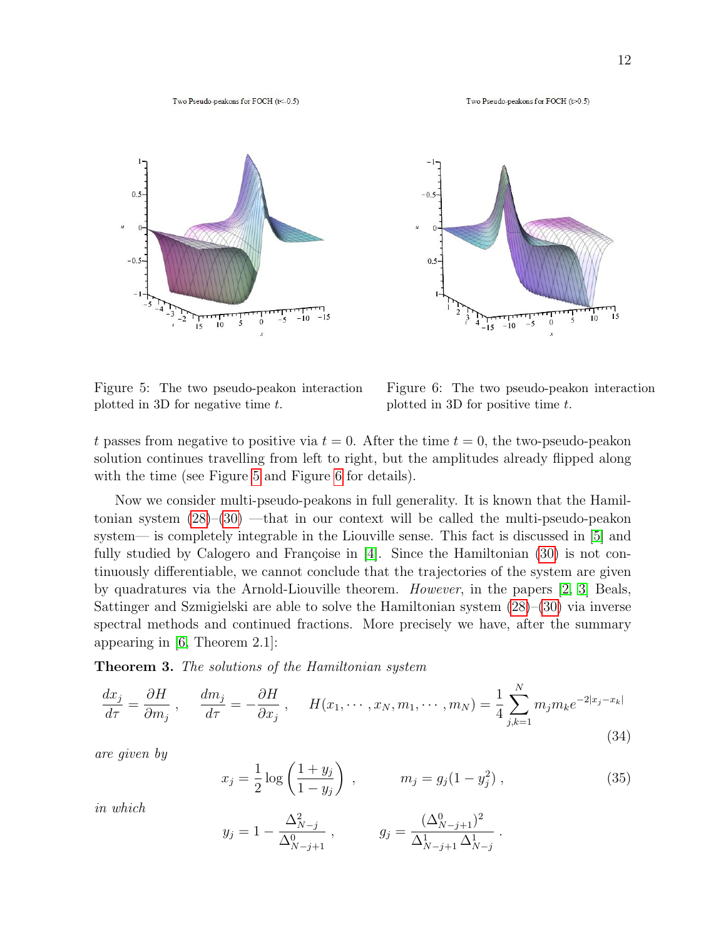





<span id="page-12-0"></span>Figure 5: The two pseudo-peakon interaction plotted in 3D for negative time  $t$ .

<span id="page-12-1"></span>Figure 6: The two pseudo-peakon interaction plotted in 3D for positive time  $t$ .

t passes from negative to positive via  $t = 0$ . After the time  $t = 0$ , the two-pseudo-peakon solution continues travelling from left to right, but the amplitudes already flipped along with the time (see Figure [5](#page-12-0) and Figure [6](#page-12-1) for details).

Now we consider multi-pseudo-peakons in full generality. It is known that the Hamiltonian system [\(28\)](#page-10-3)–[\(30\)](#page-10-4) —that in our context will be called the multi-pseudo-peakon system— is completely integrable in the Liouville sense. This fact is discussed in [\[5\]](#page-28-0) and fully studied by Calogero and Françoise in  $[4]$ . Since the Hamiltonian  $(30)$  is not continuously differentiable, we cannot conclude that the trajectories of the system are given by quadratures via the Arnold-Liouville theorem. However, in the papers [\[2,](#page-28-2) [3\]](#page-28-4) Beals, Sattinger and Szmigielski are able to solve the Hamiltonian system [\(28\)](#page-10-3)–[\(30\)](#page-10-4) via inverse spectral methods and continued fractions. More precisely we have, after the summary appearing in [\[6,](#page-28-5) Theorem 2.1]:

**Theorem 3.** The solutions of the Hamiltonian system

<span id="page-12-2"></span>
$$
\frac{dx_j}{d\tau} = \frac{\partial H}{\partial m_j}, \quad \frac{dm_j}{d\tau} = -\frac{\partial H}{\partial x_j}, \quad H(x_1, \dots, x_N, m_1, \dots, m_N) = \frac{1}{4} \sum_{j,k=1}^N m_j m_k e^{-2|x_j - x_k|}
$$
\n(34)

are given by

$$
x_j = \frac{1}{2} \log \left( \frac{1 + y_j}{1 - y_j} \right) , \qquad m_j = g_j (1 - y_j^2) , \qquad (35)
$$

in which

$$
y_j = 1 - \frac{\Delta_{N-j}^2}{\Delta_{N-j+1}^0}
$$
,  $g_j = \frac{(\Delta_{N-j+1}^0)^2}{\Delta_{N-j+1}^1 \Delta_{N-j}^1}$ .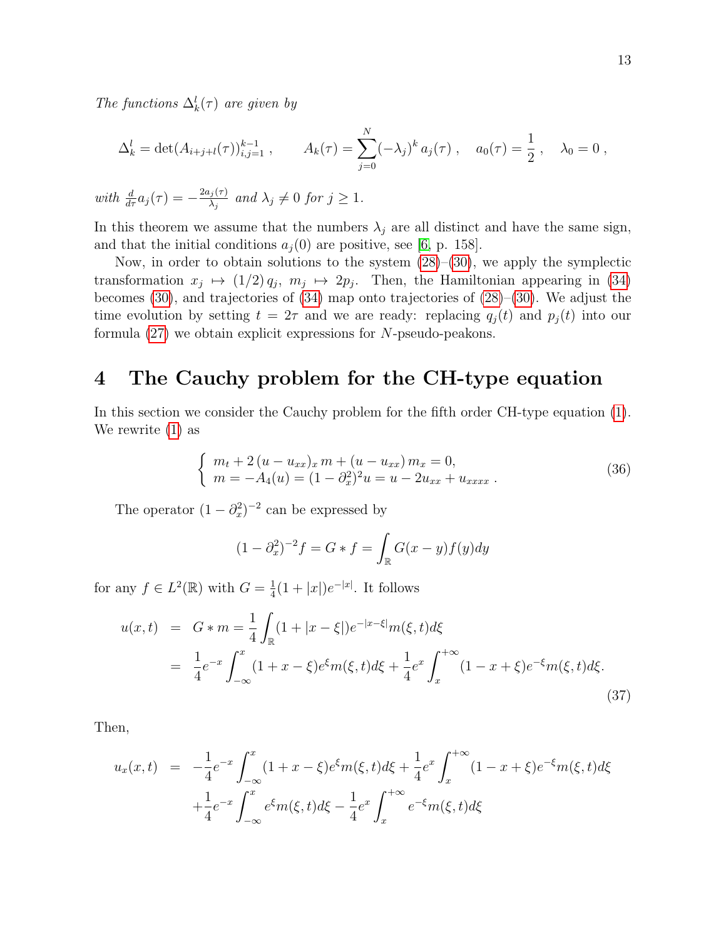The functions  $\Delta_k^l(\tau)$  are given by

$$
\Delta_k^l = \det(A_{i+j+l}(\tau))_{i,j=1}^{k-1}, \qquad A_k(\tau) = \sum_{j=0}^N (-\lambda_j)^k a_j(\tau), \quad a_0(\tau) = \frac{1}{2}, \quad \lambda_0 = 0,
$$
  

$$
\text{the } \frac{d}{d\tau} a_i(\tau) = -\frac{2a_j(\tau)}{d\tau} \text{ and } \lambda_i \neq 0 \text{ for } j > 1.
$$

 $wit$  $\frac{a}{d\tau}a_j(\tau)$  $\overline{\lambda_j}$ and  $\lambda_j \neq 0$  for  $j \geq 1$ .

In this theorem we assume that the numbers  $\lambda_j$  are all distinct and have the same sign, and that the initial conditions  $a_i(0)$  are positive, see [\[6,](#page-28-5) p. 158].

Now, in order to obtain solutions to the system  $(28)$ – $(30)$ , we apply the symplectic transformation  $x_j \mapsto (1/2) q_j$ ,  $m_j \mapsto 2p_j$ . Then, the Hamiltonian appearing in [\(34\)](#page-12-2) becomes [\(30\)](#page-10-4), and trajectories of [\(34\)](#page-12-2) map onto trajectories of [\(28\)](#page-10-3)–[\(30\)](#page-10-4). We adjust the time evolution by setting  $t = 2\tau$  and we are ready: replacing  $q_i(t)$  and  $p_i(t)$  into our formula  $(27)$  we obtain explicit expressions for N-pseudo-peakons.

## 4 The Cauchy problem for the CH-type equation

In this section we consider the Cauchy problem for the fifth order CH-type equation [\(1\)](#page-3-0). We rewrite [\(1\)](#page-3-0) as

<span id="page-13-1"></span>
$$
\begin{cases}\n m_t + 2(u - u_{xx})_x m + (u - u_{xx}) m_x = 0, \\
m = -A_4(u) = (1 - \partial_x^2)^2 u = u - 2u_{xx} + u_{xxxx} .\n\end{cases}
$$
\n(36)

The operator  $(1 - \partial_x^2)^{-2}$  can be expressed by

$$
(1 - \partial_x^2)^{-2} f = G * f = \int_{\mathbb{R}} G(x - y) f(y) dy
$$

for any  $f \in L^2(\mathbb{R})$  with  $G = \frac{1}{4}$  $\frac{1}{4}(1+|x|)e^{-|x|}$ . It follows

<span id="page-13-0"></span>
$$
u(x,t) = G * m = \frac{1}{4} \int_{\mathbb{R}} (1 + |x - \xi|) e^{-|x - \xi|} m(\xi, t) d\xi
$$
  

$$
= \frac{1}{4} e^{-x} \int_{-\infty}^{x} (1 + x - \xi) e^{\xi} m(\xi, t) d\xi + \frac{1}{4} e^{x} \int_{x}^{+\infty} (1 - x + \xi) e^{-\xi} m(\xi, t) d\xi.
$$
(37)

Then,

$$
u_x(x,t) = -\frac{1}{4}e^{-x} \int_{-\infty}^x (1+x-\xi)e^{\xi}m(\xi,t)d\xi + \frac{1}{4}e^x \int_x^{+\infty} (1-x+\xi)e^{-\xi}m(\xi,t)d\xi
$$
  
 
$$
+ \frac{1}{4}e^{-x} \int_{-\infty}^x e^{\xi}m(\xi,t)d\xi - \frac{1}{4}e^x \int_x^{+\infty} e^{-\xi}m(\xi,t)d\xi
$$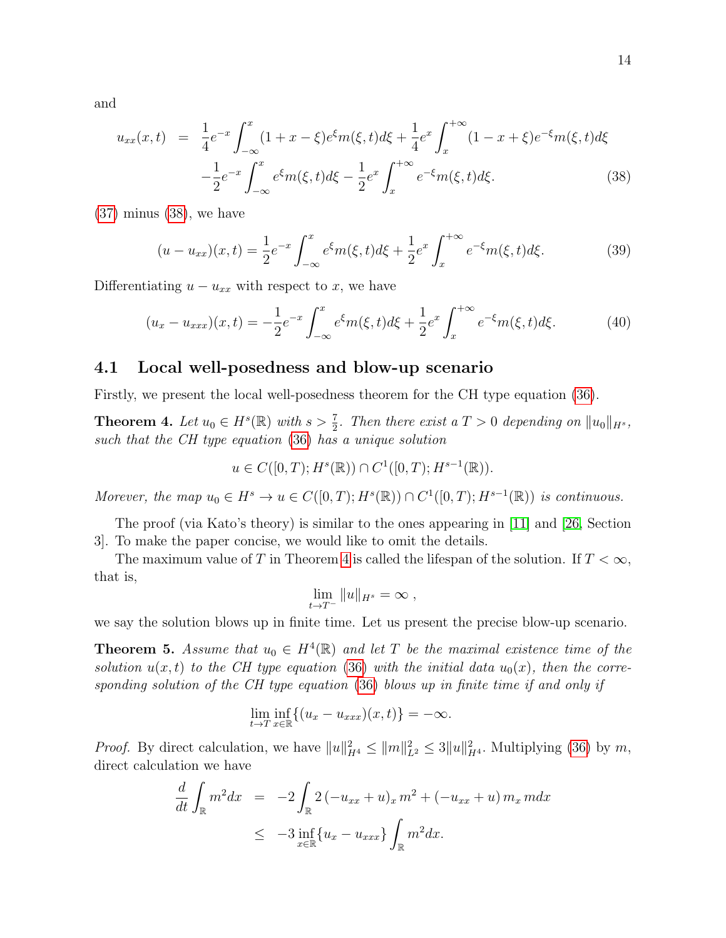and

<span id="page-14-0"></span>
$$
u_{xx}(x,t) = \frac{1}{4}e^{-x} \int_{-\infty}^{x} (1+x-\xi)e^{\xi}m(\xi,t)d\xi + \frac{1}{4}e^{x} \int_{x}^{+\infty} (1-x+\xi)e^{-\xi}m(\xi,t)d\xi
$$

$$
-\frac{1}{2}e^{-x} \int_{-\infty}^{x} e^{\xi}m(\xi,t)d\xi - \frac{1}{2}e^{x} \int_{x}^{+\infty} e^{-\xi}m(\xi,t)d\xi.
$$
(38)

[\(37\)](#page-13-0) minus [\(38\)](#page-14-0), we have

<span id="page-14-3"></span>
$$
(u - u_{xx})(x,t) = \frac{1}{2}e^{-x} \int_{-\infty}^{x} e^{\xi}m(\xi, t)d\xi + \frac{1}{2}e^{x} \int_{x}^{+\infty} e^{-\xi}m(\xi, t)d\xi.
$$
 (39)

Differentiating  $u - u_{xx}$  with respect to x, we have

<span id="page-14-4"></span>
$$
(u_x - u_{xxx})(x,t) = -\frac{1}{2}e^{-x} \int_{-\infty}^x e^{\xi} m(\xi, t) d\xi + \frac{1}{2}e^x \int_x^{+\infty} e^{-\xi} m(\xi, t) d\xi.
$$
 (40)

#### 4.1 Local well-posedness and blow-up scenario

Firstly, we present the local well-posedness theorem for the CH type equation [\(36\)](#page-13-1).

<span id="page-14-1"></span>**Theorem 4.** Let  $u_0 \in H^s(\mathbb{R})$  with  $s > \frac{7}{2}$ . Then there exist a  $T > 0$  depending on  $||u_0||_{H^s}$ , such that the CH type equation [\(36\)](#page-13-1) has a unique solution

$$
u \in C([0, T); H^s(\mathbb{R})) \cap C^1([0, T); H^{s-1}(\mathbb{R})).
$$

Morever, the map  $u_0 \in H^s \to u \in C([0,T); H^s(\mathbb{R})) \cap C^1([0,T); H^{s-1}(\mathbb{R}))$  is continuous.

The proof (via Kato's theory) is similar to the ones appearing in [\[11\]](#page-29-15) and [\[26,](#page-30-2) Section 3]. To make the paper concise, we would like to omit the details.

The maximum value of T in Theorem [4](#page-14-1) is called the lifespan of the solution. If  $T < \infty$ , that is,

$$
\lim_{t\to T^-} \|u\|_{H^s} = \infty ,
$$

we say the solution blows up in finite time. Let us present the precise blow-up scenario.

<span id="page-14-2"></span>**Theorem 5.** Assume that  $u_0 \in H^4(\mathbb{R})$  and let T be the maximal existence time of the solution  $u(x, t)$  to the CH type equation [\(36\)](#page-13-1) with the initial data  $u_0(x)$ , then the corresponding solution of the CH type equation [\(36\)](#page-13-1) blows up in finite time if and only if

$$
\lim_{t \to T} \inf_{x \in \mathbb{R}} \{ (u_x - u_{xxx})(x, t) \} = -\infty.
$$

*Proof.* By direct calculation, we have  $||u||_{H^4}^2 \le ||m||_{L^2}^2 \le 3||u||_{H^4}^2$ . Multiplying [\(36\)](#page-13-1) by m, direct calculation we have

$$
\frac{d}{dt} \int_{\mathbb{R}} m^2 dx = -2 \int_{\mathbb{R}} 2(-u_{xx} + u)_x m^2 + (-u_{xx} + u) m_x m dx
$$
  
\n
$$
\leq -3 \inf_{x \in \mathbb{R}} \{u_x - u_{xxx}\} \int_{\mathbb{R}} m^2 dx.
$$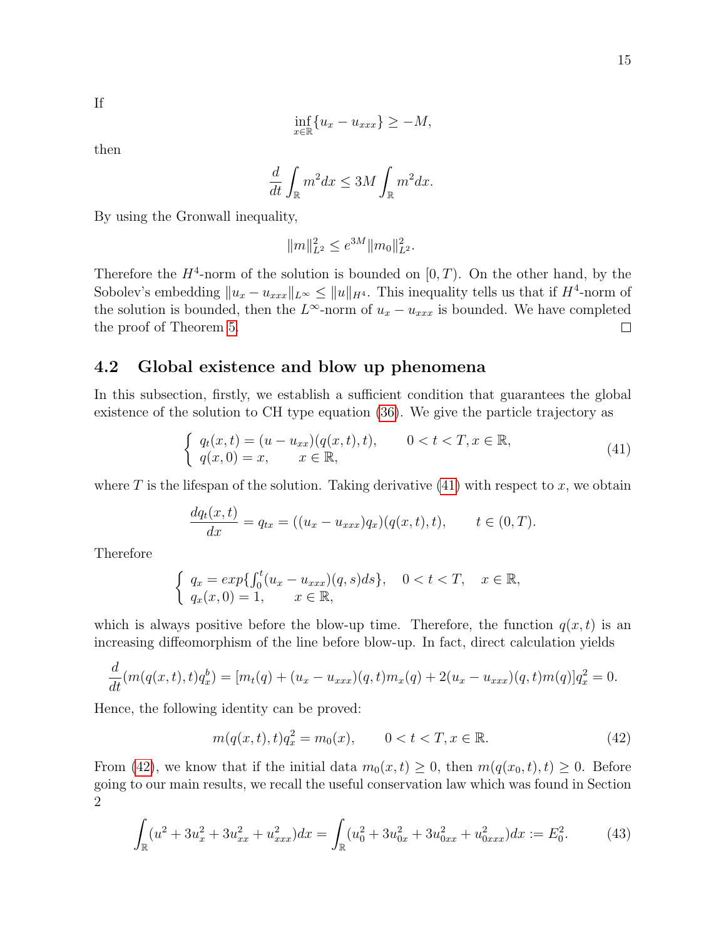If

$$
\inf_{x \in \mathbb{R}} \{ u_x - u_{xxx} \} \ge -M,
$$

then

$$
\frac{d}{dt} \int_{\mathbb{R}} m^2 dx \le 3M \int_{\mathbb{R}} m^2 dx.
$$

By using the Gronwall inequality,

$$
||m||_{L^2}^2 \le e^{3M} ||m_0||_{L^2}^2.
$$

Therefore the  $H^4$ -norm of the solution is bounded on  $[0, T)$ . On the other hand, by the Sobolev's embedding  $||u_x - u_{xxx}||_{L^{\infty}} \le ||u||_{H^4}$ . This inequality tells us that if  $H^4$ -norm of the solution is bounded, then the  $L^{\infty}$ -norm of  $u_x - u_{xxx}$  is bounded. We have completed the proof of Theorem [5.](#page-14-2)  $\Box$ 

### 4.2 Global existence and blow up phenomena

In this subsection, firstly, we establish a sufficient condition that guarantees the global existence of the solution to CH type equation [\(36\)](#page-13-1). We give the particle trajectory as

<span id="page-15-0"></span>
$$
\begin{cases}\n q_t(x,t) = (u - u_{xx})(q(x,t),t), & 0 < t < T, x \in \mathbb{R}, \\
q(x,0) = x, & x \in \mathbb{R},\n\end{cases}
$$
\n(41)

where T is the lifespan of the solution. Taking derivative  $(41)$  with respect to x, we obtain

$$
\frac{dq_t(x,t)}{dx} = q_{tx} = ((u_x - u_{xxx})q_x)(q(x,t),t), \qquad t \in (0,T).
$$

Therefore

$$
\begin{cases}\n q_x = exp\{ \int_0^t (u_x - u_{xxx})(q, s)ds \}, & 0 < t < T, \quad x \in \mathbb{R}, \\
q_x(x, 0) = 1, & x \in \mathbb{R},\n\end{cases}
$$

which is always positive before the blow-up time. Therefore, the function  $q(x, t)$  is an increasing diffeomorphism of the line before blow-up. In fact, direct calculation yields

$$
\frac{d}{dt}(m(q(x,t),t)q_x^b) = [m_t(q) + (u_x - u_{xxx})(q,t)m_x(q) + 2(u_x - u_{xxx})(q,t)m(q)]q_x^2 = 0.
$$

Hence, the following identity can be proved:

<span id="page-15-1"></span>
$$
m(q(x,t),t)q_x^2 = m_0(x), \qquad 0 < t < T, x \in \mathbb{R}.\tag{42}
$$

From [\(42\)](#page-15-1), we know that if the initial data  $m_0(x, t) \geq 0$ , then  $m(q(x_0, t), t) \geq 0$ . Before going to our main results, we recall the useful conservation law which was found in Section 2

<span id="page-15-2"></span>
$$
\int_{\mathbb{R}} (u^2 + 3u_x^2 + 3u_{xx}^2 + u_{xxx}^2) dx = \int_{\mathbb{R}} (u_0^2 + 3u_{0x}^2 + 3u_{0xx}^2 + u_{0xxx}^2) dx := E_0^2.
$$
 (43)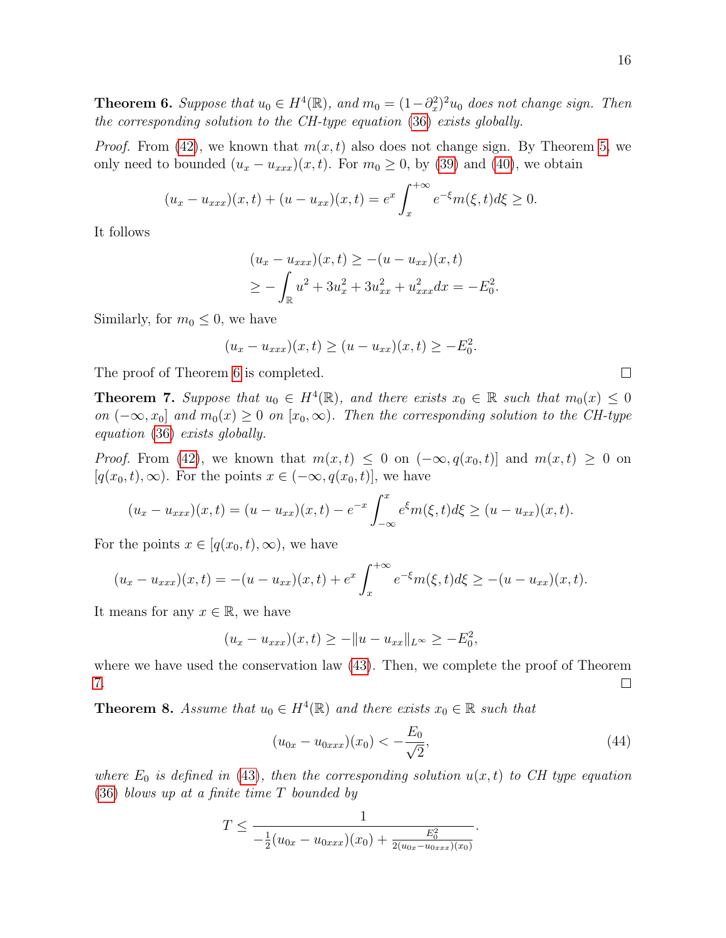<span id="page-16-0"></span>**Theorem 6.** Suppose that  $u_0 \in H^4(\mathbb{R})$ , and  $m_0 = (1 - \partial_x^2)^2 u_0$  does not change sign. Then the corresponding solution to the CH-type equation [\(36\)](#page-13-1) exists globally.

*Proof.* From [\(42\)](#page-15-1), we known that  $m(x, t)$  also does not change sign. By Theorem [5,](#page-14-2) we only need to bounded  $(u_x - u_{xxx})(x, t)$ . For  $m_0 \ge 0$ , by [\(39\)](#page-14-3) and [\(40\)](#page-14-4), we obtain

$$
(u_x - u_{xxx})(x,t) + (u - u_{xx})(x,t) = e^x \int_x^{+\infty} e^{-\xi} m(\xi, t) d\xi \ge 0.
$$

It follows

$$
(u_x - u_{xxx})(x, t) \ge -(u - u_{xx})(x, t)
$$
  
\n
$$
\ge -\int_{\mathbb{R}} u^2 + 3u_x^2 + 3u_{xx}^2 + u_{xxx}^2 dx = -E_0^2
$$

.

Similarly, for  $m_0 \leq 0$ , we have

$$
(u_x - u_{xxx})(x,t) \ge (u - u_{xx})(x,t) \ge -E_0^2.
$$

The proof of Theorem [6](#page-16-0) is completed.

<span id="page-16-1"></span>**Theorem 7.** Suppose that  $u_0 \in H^4(\mathbb{R})$ , and there exists  $x_0 \in \mathbb{R}$  such that  $m_0(x) \leq 0$ on  $(-\infty, x_0]$  and  $m_0(x) \geq 0$  on  $[x_0, \infty)$ . Then the corresponding solution to the CH-type equation [\(36\)](#page-13-1) exists globally.

*Proof.* From [\(42\)](#page-15-1), we known that  $m(x,t) \leq 0$  on  $(-\infty, q(x_0,t)]$  and  $m(x,t) \geq 0$  on  $[q(x_0, t), \infty)$ . For the points  $x \in (-\infty, q(x_0, t)]$ , we have

$$
(u_x - u_{xxx})(x,t) = (u - u_{xx})(x,t) - e^{-x} \int_{-\infty}^x e^{\xi} m(\xi, t) d\xi \ge (u - u_{xx})(x,t).
$$

For the points  $x \in [q(x_0, t), \infty)$ , we have

$$
(u_x - u_{xxx})(x,t) = -(u - u_{xx})(x,t) + e^x \int_x^{+\infty} e^{-\xi} m(\xi, t) d\xi \ge -(u - u_{xx})(x,t).
$$

It means for any  $x \in \mathbb{R}$ , we have

$$
(u_x - u_{xxx})(x,t) \ge -||u - u_{xx}||_{L^{\infty}} \ge -E_0^2,
$$

where we have used the conservation law [\(43\)](#page-15-2). Then, we complete the proof of Theorem [7.](#page-16-1)  $\Box$ 

<span id="page-16-3"></span>**Theorem 8.** Assume that  $u_0 \in H^4(\mathbb{R})$  and there exists  $x_0 \in \mathbb{R}$  such that

<span id="page-16-2"></span>
$$
(u_{0x} - u_{0xxx})(x_0) < -\frac{E_0}{\sqrt{2}},\tag{44}
$$

.

where  $E_0$  is defined in [\(43\)](#page-15-2), then the corresponding solution  $u(x, t)$  to CH type equation [\(36\)](#page-13-1) blows up at a finite time T bounded by

$$
T \leq \frac{1}{-\frac{1}{2}(u_{0x} - u_{0xxx})(x_0) + \frac{E_0^2}{2(u_{0x} - u_{0xxx})(x_0)}}
$$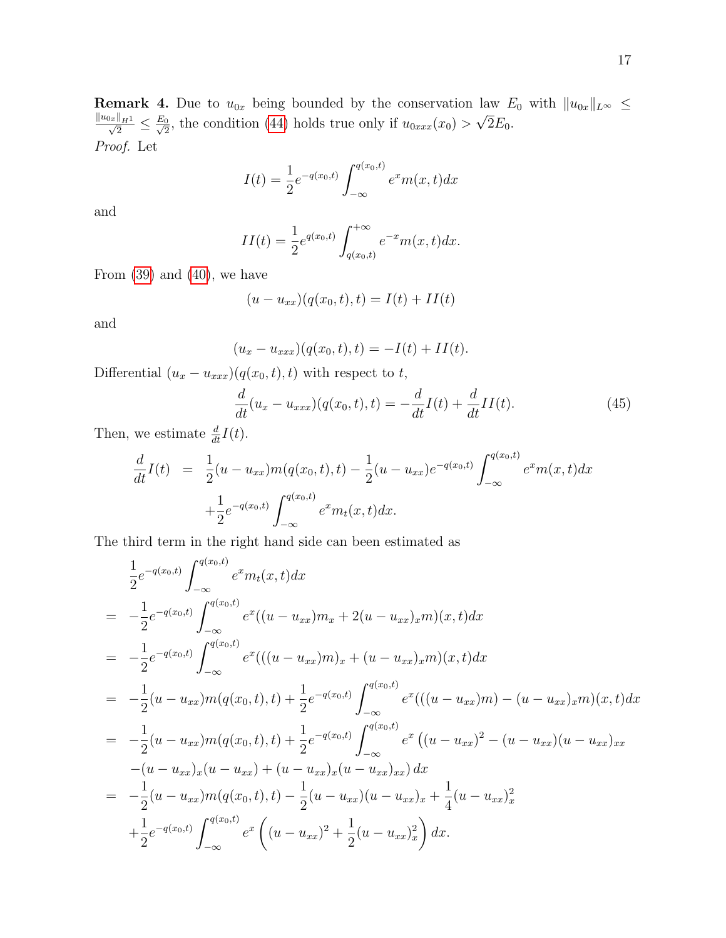**Remark 4.** Due to  $u_{0x}$  being bounded by the conservation law  $E_0$  with  $||u_{0x}||_{L^{\infty}} \leq$  $\frac{\|u_{0x}\|_{H^1}}{\sqrt{2}} \leq \frac{E_0}{\sqrt{2}}$  $\frac{0}{2}$ , the condition [\(44\)](#page-16-2) holds true only if  $u_{0xxx}(x_0) >$ √  $2E_0$ . Proof. Let

$$
I(t) = \frac{1}{2}e^{-q(x_0,t)} \int_{-\infty}^{q(x_0,t)} e^x m(x,t) dx
$$

and

$$
II(t) = \frac{1}{2} e^{q(x_0, t)} \int_{q(x_0, t)}^{+\infty} e^{-x} m(x, t) dx.
$$

From  $(39)$  and  $(40)$ , we have

$$
(u - u_{xx})(q(x_0, t), t) = I(t) + II(t)
$$

and

$$
(u_x - u_{xxx})(q(x_0, t), t) = -I(t) + II(t).
$$

Differential  $(u_x - u_{xxx})(q(x_0, t), t)$  with respect to  $t$ ,

<span id="page-17-0"></span>
$$
\frac{d}{dt}(u_x - u_{xxx})(q(x_0, t), t) = -\frac{d}{dt}I(t) + \frac{d}{dt}II(t).
$$
\n(45)

Then, we estimate  $\frac{d}{dt}I(t)$ .

$$
\frac{d}{dt}I(t) = \frac{1}{2}(u - u_{xx})m(q(x_0, t), t) - \frac{1}{2}(u - u_{xx})e^{-q(x_0, t)} \int_{-\infty}^{q(x_0, t)} e^x m(x, t) dx \n+ \frac{1}{2}e^{-q(x_0, t)} \int_{-\infty}^{q(x_0, t)} e^x m_t(x, t) dx.
$$

The third term in the right hand side can been estimated as

$$
\frac{1}{2}e^{-q(x_0,t)}\int_{-\infty}^{q(x_0,t)}e^{x}m_t(x,t)dx
$$
\n
$$
= -\frac{1}{2}e^{-q(x_0,t)}\int_{-\infty}^{q(x_0,t)}e^{x}((u-u_{xx})m_x+2(u-u_{xx})_x m)(x,t)dx
$$
\n
$$
= -\frac{1}{2}e^{-q(x_0,t)}\int_{-\infty}^{q(x_0,t)}e^{x}(((u-u_{xx})m)_x+(u-u_{xx})_x m)(x,t)dx
$$
\n
$$
= -\frac{1}{2}(u-u_{xx})m(q(x_0,t),t)+\frac{1}{2}e^{-q(x_0,t)}\int_{-\infty}^{q(x_0,t)}e^{x}(((u-u_{xx})m)-(u-u_{xx})_x m)(x,t)dx
$$
\n
$$
= -\frac{1}{2}(u-u_{xx})m(q(x_0,t),t)+\frac{1}{2}e^{-q(x_0,t)}\int_{-\infty}^{q(x_0,t)}e^{x}((u-u_{xx})^2-(u-u_{xx})_x m)(u-u_{xx})_{xx}
$$
\n
$$
-(u-u_{xx})_x(u-u_{xx})+(u-u_{xx})_x(u-u_{xx})_x dx
$$
\n
$$
= -\frac{1}{2}(u-u_{xx})m(q(x_0,t),t)-\frac{1}{2}(u-u_{xx})(u-u_{xx})_x+\frac{1}{4}(u-u_{xx})_x^2 + \frac{1}{2}e^{-q(x_0,t)}\int_{-\infty}^{q(x_0,t)}e^{x}\left((u-u_{xx})^2+\frac{1}{2}(u-u_{xx})_x^2\right)dx.
$$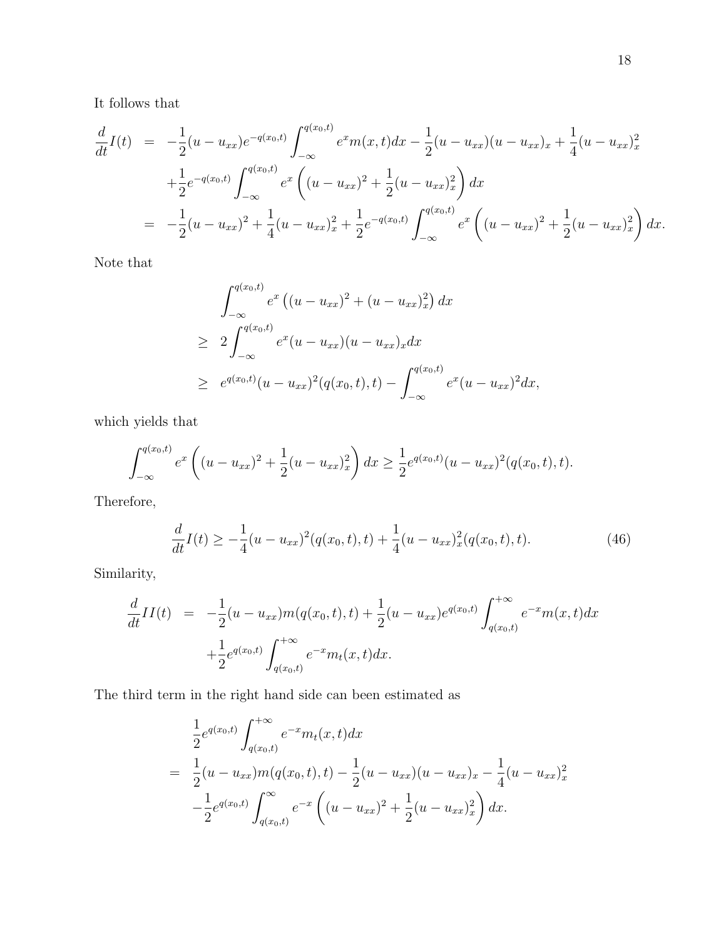It follows that

$$
\frac{d}{dt}I(t) = -\frac{1}{2}(u - u_{xx})e^{-q(x_0, t)} \int_{-\infty}^{q(x_0, t)} e^x m(x, t) dx - \frac{1}{2}(u - u_{xx})(u - u_{xx})x + \frac{1}{4}(u - u_{xx})^2
$$
  
\n
$$
+ \frac{1}{2}e^{-q(x_0, t)} \int_{-\infty}^{q(x_0, t)} e^x \left( (u - u_{xx})^2 + \frac{1}{2}(u - u_{xx})^2 \right) dx
$$
  
\n
$$
= -\frac{1}{2}(u - u_{xx})^2 + \frac{1}{4}(u - u_{xx})^2 + \frac{1}{2}e^{-q(x_0, t)} \int_{-\infty}^{q(x_0, t)} e^x \left( (u - u_{xx})^2 + \frac{1}{2}(u - u_{xx})^2 \right) dx.
$$

Note that

$$
\int_{-\infty}^{q(x_0,t)} e^x ((u - u_{xx})^2 + (u - u_{xx})_x^2) dx
$$
  
\n
$$
\geq 2 \int_{-\infty}^{q(x_0,t)} e^x (u - u_{xx})(u - u_{xx})_x dx
$$
  
\n
$$
\geq e^{q(x_0,t)} (u - u_{xx})^2 (q(x_0,t), t) - \int_{-\infty}^{q(x_0,t)} e^x (u - u_{xx})^2 dx,
$$

which yields that

$$
\int_{-\infty}^{q(x_0,t)} e^x \left( (u - u_{xx})^2 + \frac{1}{2} (u - u_{xx})_x^2 \right) dx \ge \frac{1}{2} e^{q(x_0,t)} (u - u_{xx})^2 (q(x_0,t),t).
$$

Therefore,

<span id="page-18-0"></span>
$$
\frac{d}{dt}I(t) \ge -\frac{1}{4}(u - u_{xx})^2(q(x_0, t), t) + \frac{1}{4}(u - u_{xx})^2_x(q(x_0, t), t).
$$
\n(46)

Similarity,

$$
\frac{d}{dt}II(t) = -\frac{1}{2}(u - u_{xx})m(q(x_0, t), t) + \frac{1}{2}(u - u_{xx})e^{q(x_0, t)} \int_{q(x_0, t)}^{+\infty} e^{-x}m(x, t)dx \n+ \frac{1}{2}e^{q(x_0, t)} \int_{q(x_0, t)}^{+\infty} e^{-x}m_t(x, t)dx.
$$

The third term in the right hand side can been estimated as

$$
\frac{1}{2}e^{q(x_0,t)}\int_{q(x_0,t)}^{+\infty}e^{-x}m_t(x,t)dx
$$
\n
$$
=\frac{1}{2}(u-u_{xx})m(q(x_0,t),t)-\frac{1}{2}(u-u_{xx})(u-u_{xx})_x-\frac{1}{4}(u-u_{xx})_x^2
$$
\n
$$
-\frac{1}{2}e^{q(x_0,t)}\int_{q(x_0,t)}^{\infty}e^{-x}\left((u-u_{xx})^2+\frac{1}{2}(u-u_{xx})_x^2\right)dx.
$$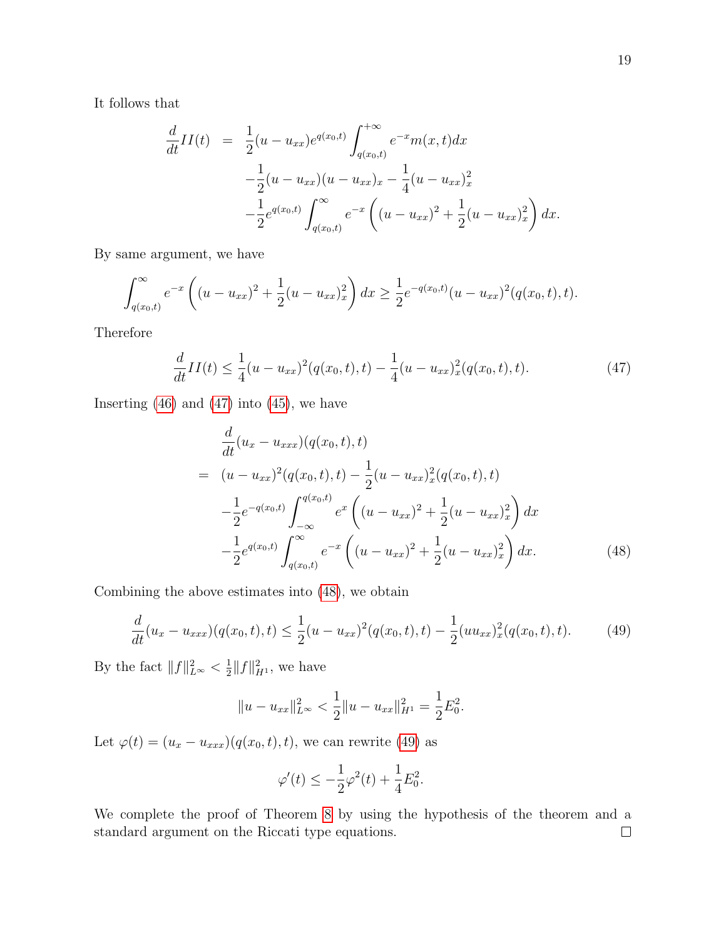It follows that

$$
\frac{d}{dt}II(t) = \frac{1}{2}(u - u_{xx})e^{q(x_0, t)} \int_{q(x_0, t)}^{+\infty} e^{-x}m(x, t)dx \n- \frac{1}{2}(u - u_{xx})(u - u_{xx})_x - \frac{1}{4}(u - u_{xx})_x^2 \n- \frac{1}{2}e^{q(x_0, t)} \int_{q(x_0, t)}^{\infty} e^{-x} \left((u - u_{xx})^2 + \frac{1}{2}(u - u_{xx})_x^2\right)dx.
$$

By same argument, we have

$$
\int_{q(x_0,t)}^{\infty} e^{-x} \left( (u - u_{xx})^2 + \frac{1}{2} (u - u_{xx})_x^2 \right) dx \ge \frac{1}{2} e^{-q(x_0,t)} (u - u_{xx})^2 (q(x_0,t),t).
$$

Therefore

<span id="page-19-0"></span>
$$
\frac{d}{dt}II(t) \le \frac{1}{4}(u - u_{xx})^2(q(x_0, t), t) - \frac{1}{4}(u - u_{xx})^2_x(q(x_0, t), t).
$$
\n(47)

Inserting  $(46)$  and  $(47)$  into  $(45)$ , we have

<span id="page-19-1"></span>
$$
\frac{d}{dt}(u_x - u_{xxx})(q(x_0, t), t)
$$
\n
$$
= (u - u_{xx})^2 (q(x_0, t), t) - \frac{1}{2}(u - u_{xx})_x^2 (q(x_0, t), t)
$$
\n
$$
- \frac{1}{2} e^{-q(x_0, t)} \int_{-\infty}^{q(x_0, t)} e^x \left( (u - u_{xx})^2 + \frac{1}{2}(u - u_{xx})_x^2 \right) dx
$$
\n
$$
- \frac{1}{2} e^{q(x_0, t)} \int_{q(x_0, t)}^{\infty} e^{-x} \left( (u - u_{xx})^2 + \frac{1}{2}(u - u_{xx})_x^2 \right) dx.
$$
\n(48)

Combining the above estimates into [\(48\)](#page-19-1), we obtain

<span id="page-19-2"></span>
$$
\frac{d}{dt}(u_x - u_{xxx})(q(x_0, t), t) \le \frac{1}{2}(u - u_{xx})^2(q(x_0, t), t) - \frac{1}{2}(uu_{xx})^2_x(q(x_0, t), t).
$$
 (49)

By the fact  $||f||_{L^{\infty}}^2 < \frac{1}{2}$  $\frac{1}{2}||f||_{H^1}^2$ , we have

$$
||u - u_{xx}||_{L^{\infty}}^2 < \frac{1}{2}||u - u_{xx}||_{H^1}^2 = \frac{1}{2}E_0^2.
$$

Let  $\varphi(t) = (u_x - u_{xxx})(q(x_0, t), t)$ , we can rewrite [\(49\)](#page-19-2) as

$$
\varphi'(t) \le -\frac{1}{2}\varphi^2(t) + \frac{1}{4}E_0^2.
$$

We complete the proof of Theorem [8](#page-16-3) by using the hypothesis of the theorem and a standard argument on the Riccati type equations. $\Box$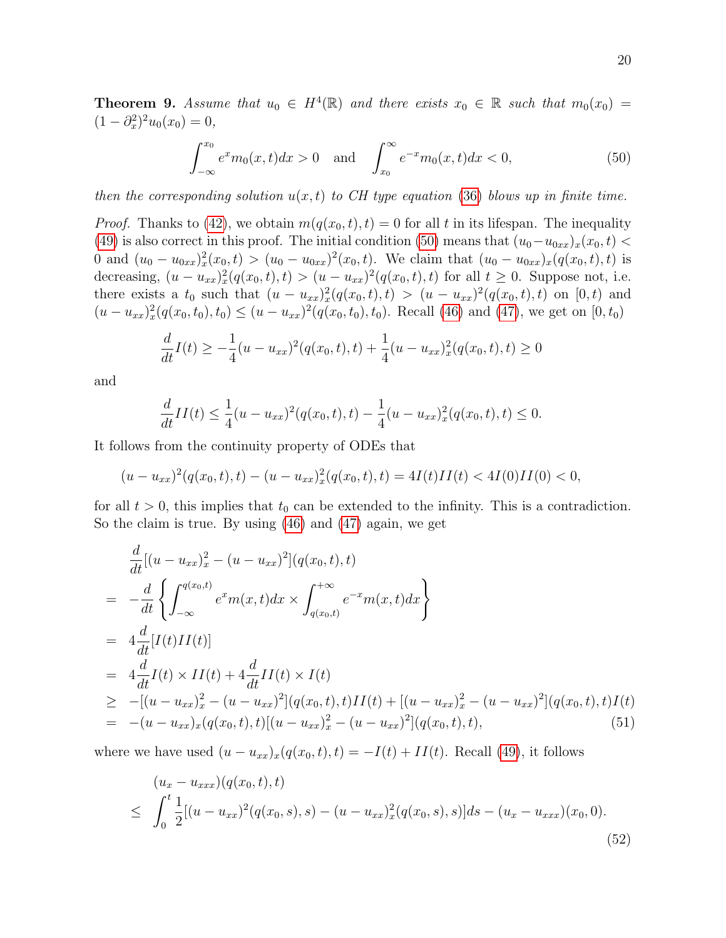**Theorem 9.** Assume that  $u_0 \in H^4(\mathbb{R})$  and there exists  $x_0 \in \mathbb{R}$  such that  $m_0(x_0) =$  $(1 - \partial_x^2)^2 u_0(x_0) = 0,$ 

<span id="page-20-0"></span>
$$
\int_{-\infty}^{x_0} e^x m_0(x, t) dx > 0 \quad \text{and} \quad \int_{x_0}^{\infty} e^{-x} m_0(x, t) dx < 0,
$$
 (50)

then the corresponding solution  $u(x, t)$  to CH type equation [\(36\)](#page-13-1) blows up in finite time.

*Proof.* Thanks to [\(42\)](#page-15-1), we obtain  $m(q(x_0, t), t) = 0$  for all t in its lifespan. The inequality [\(49\)](#page-19-2) is also correct in this proof. The initial condition [\(50\)](#page-20-0) means that  $(u_0-u_{0xx})_x(x_0,t)$ 0 and  $(u_0 - u_{0xx})_x^2(x_0, t) > (u_0 - u_{0xx})^2(x_0, t)$ . We claim that  $(u_0 - u_{0xx})_x(q(x_0, t), t)$  is decreasing,  $(u - u_{xx})_x^2(q(x_0, t), t) > (u - u_{xx})^2(q(x_0, t), t)$  for all  $t \ge 0$ . Suppose not, i.e. there exists a  $t_0$  such that  $(u - u_{xx})_x^2(q(x_0, t), t) > (u - u_{xx})^2(q(x_0, t), t)$  on  $[0, t)$  and  $(u - u_{xx})_x^2(q(x_0, t_0), t_0) \le (u - u_{xx})^2(q(x_0, t_0), t_0)$ . Recall [\(46\)](#page-18-0) and [\(47\)](#page-19-0), we get on [0, t<sub>0</sub>)

$$
\frac{d}{dt}I(t) \ge -\frac{1}{4}(u - u_{xx})^2(q(x_0, t), t) + \frac{1}{4}(u - u_{xx})^2_x(q(x_0, t), t) \ge 0
$$

and

$$
\frac{d}{dt}II(t) \le \frac{1}{4}(u - u_{xx})^2(q(x_0, t), t) - \frac{1}{4}(u - u_{xx})_x^2(q(x_0, t), t) \le 0.
$$

It follows from the continuity property of ODEs that

$$
(u - u_{xx})^2 (q(x_0, t), t) - (u - u_{xx})_x^2 (q(x_0, t), t) = 4I(t)II(t) < 4I(0)II(0) < 0,
$$

for all  $t > 0$ , this implies that  $t_0$  can be extended to the infinity. This is a contradiction. So the claim is true. By using [\(46\)](#page-18-0) and [\(47\)](#page-19-0) again, we get

<span id="page-20-2"></span>
$$
\frac{d}{dt}[(u - u_{xx})_x^2 - (u - u_{xx})^2](q(x_0, t), t)
$$
\n
$$
= -\frac{d}{dt} \left\{ \int_{-\infty}^{q(x_0, t)} e^x m(x, t) dx \times \int_{q(x_0, t)}^{+\infty} e^{-x} m(x, t) dx \right\}
$$
\n
$$
= 4 \frac{d}{dt} [I(t)II(t)]
$$
\n
$$
= 4 \frac{d}{dt} I(t) \times II(t) + 4 \frac{d}{dt} II(t) \times I(t)
$$
\n
$$
\geq -[(u - u_{xx})_x^2 - (u - u_{xx})^2](q(x_0, t), t)II(t) + [(u - u_{xx})_x^2 - (u - u_{xx})^2](q(x_0, t), t)I(t)
$$
\n
$$
= -(u - u_{xx})_x (q(x_0, t), t)[(u - u_{xx})_x^2 - (u - u_{xx})^2](q(x_0, t), t), \qquad (51)
$$

where we have used  $(u - u_{xx})_x(q(x_0, t), t) = -I(t) + II(t)$ . Recall [\(49\)](#page-19-2), it follows

<span id="page-20-1"></span>
$$
(u_x - u_{xxx})(q(x_0, t), t)
$$
  
\n
$$
\leq \int_0^t \frac{1}{2} [(u - u_{xx})^2 (q(x_0, s), s) - (u - u_{xx})_x^2 (q(x_0, s), s)] ds - (u_x - u_{xxx})(x_0, 0).
$$
\n(52)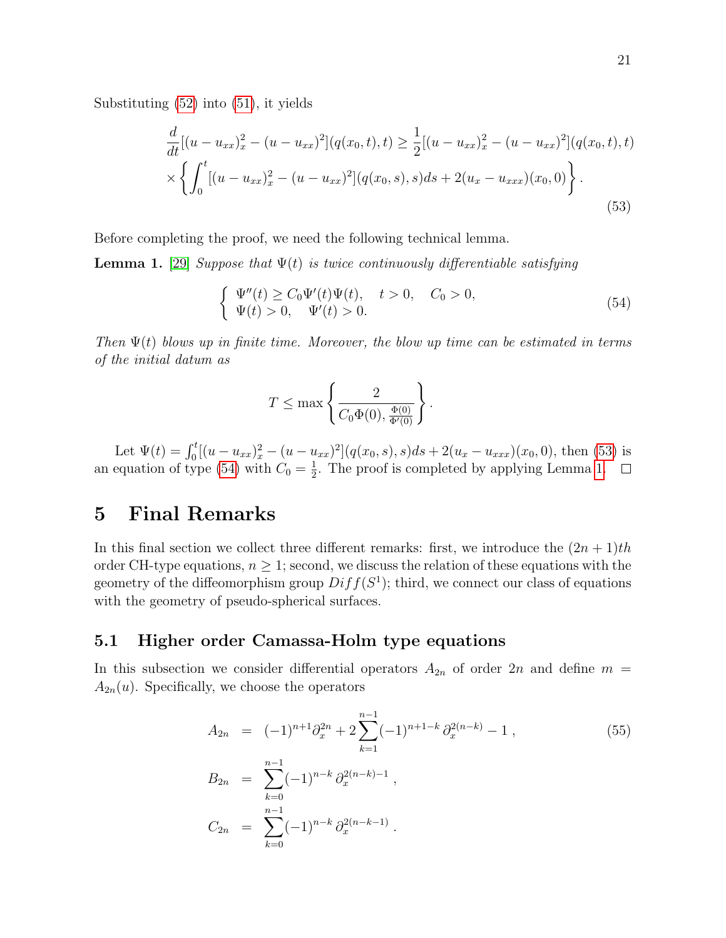Substituting [\(52\)](#page-20-1) into [\(51\)](#page-20-2), it yields

<span id="page-21-0"></span>
$$
\frac{d}{dt}[(u - u_{xx})_x^2 - (u - u_{xx})^2](q(x_0, t), t) \ge \frac{1}{2}[(u - u_{xx})_x^2 - (u - u_{xx})^2](q(x_0, t), t) \times \left\{ \int_0^t [(u - u_{xx})_x^2 - (u - u_{xx})^2](q(x_0, s), s)ds + 2(u_x - u_{xxx})(x_0, 0) \right\}.
$$
\n(53)

Before completing the proof, we need the following technical lemma.

<span id="page-21-2"></span>**Lemma 1.** [\[29\]](#page-30-5) Suppose that  $\Psi(t)$  is twice continuously differentiable satisfying

<span id="page-21-1"></span>
$$
\begin{cases} \Psi''(t) \ge C_0 \Psi'(t) \Psi(t), \quad t > 0, \quad C_0 > 0, \\ \Psi(t) > 0, \quad \Psi'(t) > 0. \end{cases}
$$
\n(54)

Then  $\Psi(t)$  blows up in finite time. Moreover, the blow up time can be estimated in terms of the initial datum as

$$
T \le \max\left\{\frac{2}{C_0\Phi(0), \frac{\Phi(0)}{\Phi'(0)}}\right\}.
$$

Let  $\Psi(t) = \int_0^t [(u - u_{xx})_x^2 - (u - u_{xx})^2](q(x_0, s), s)ds + 2(u_x - u_{xxx})(x_0, 0)$ , then [\(53\)](#page-21-0) is an equation of type [\(54\)](#page-21-1) with  $C_0 = \frac{1}{2}$  $\frac{1}{2}$ . The proof is completed by applying Lemma [1.](#page-21-2)

### 5 Final Remarks

In this final section we collect three different remarks: first, we introduce the  $(2n + 1)$ th order CH-type equations,  $n \geq 1$ ; second, we discuss the relation of these equations with the geometry of the diffeomorphism group  $Diff(S<sup>1</sup>)$ ; third, we connect our class of equations with the geometry of pseudo-spherical surfaces.

### 5.1 Higher order Camassa-Holm type equations

In this subsection we consider differential operators  $A_{2n}$  of order  $2n$  and define  $m =$  $A_{2n}(u)$ . Specifically, we choose the operators

<span id="page-21-3"></span>
$$
A_{2n} = (-1)^{n+1} \partial_x^{2n} + 2 \sum_{k=1}^{n-1} (-1)^{n+1-k} \partial_x^{2(n-k)} - 1 ,
$$
\n
$$
B_{2n} = \sum_{k=0}^{n-1} (-1)^{n-k} \partial_x^{2(n-k)-1} ,
$$
\n
$$
C_{2n} = \sum_{k=0}^{n-1} (-1)^{n-k} \partial_x^{2(n-k-1)} .
$$
\n(55)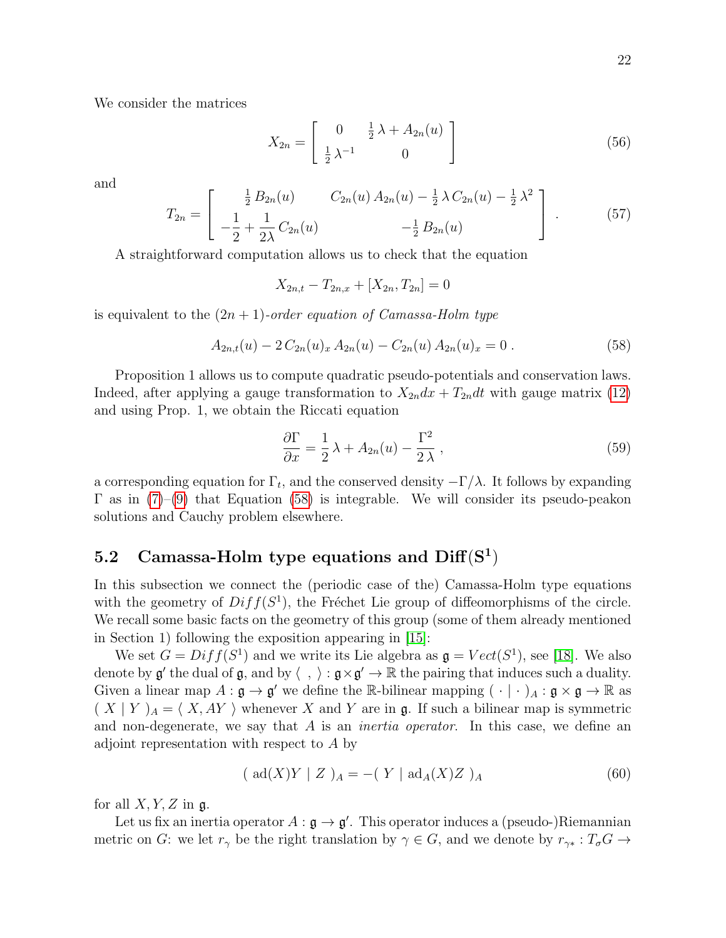We consider the matrices

<span id="page-22-2"></span>
$$
X_{2n} = \begin{bmatrix} 0 & \frac{1}{2}\lambda + A_{2n}(u) \\ \frac{1}{2}\lambda^{-1} & 0 \end{bmatrix} \tag{56}
$$

and

<span id="page-22-3"></span>
$$
T_{2n} = \begin{bmatrix} \frac{1}{2} B_{2n}(u) & C_{2n}(u) A_{2n}(u) - \frac{1}{2} \lambda C_{2n}(u) - \frac{1}{2} \lambda^2 \\ -\frac{1}{2} + \frac{1}{2\lambda} C_{2n}(u) & -\frac{1}{2} B_{2n}(u) \end{bmatrix} .
$$
 (57)

A straightforward computation allows us to check that the equation

<span id="page-22-0"></span>
$$
X_{2n,t} - T_{2n,x} + [X_{2n}, T_{2n}] = 0
$$

is equivalent to the  $(2n + 1)$ -order equation of Camassa-Holm type

$$
A_{2n,t}(u) - 2 C_{2n}(u)_x A_{2n}(u) - C_{2n}(u) A_{2n}(u)_x = 0.
$$
 (58)

Proposition 1 allows us to compute quadratic pseudo-potentials and conservation laws. Indeed, after applying a gauge transformation to  $X_{2n}dx + T_{2n}dt$  with gauge matrix [\(12\)](#page-6-4) and using Prop. 1, we obtain the Riccati equation

<span id="page-22-4"></span>
$$
\frac{\partial \Gamma}{\partial x} = \frac{1}{2}\lambda + A_{2n}(u) - \frac{\Gamma^2}{2\lambda},\tag{59}
$$

a corresponding equation for  $\Gamma_t$ , and the conserved density  $-\Gamma/\lambda$ . It follows by expanding  $\Gamma$  as in [\(7\)](#page-4-2)–[\(9\)](#page-4-4) that Equation [\(58\)](#page-22-0) is integrable. We will consider its pseudo-peakon solutions and Cauchy problem elsewhere.

### 5.2 Camassa-Holm type equations and  $\text{Diff}(S^1)$

In this subsection we connect the (periodic case of the) Camassa-Holm type equations with the geometry of  $Diff(S<sup>1</sup>)$ , the Fréchet Lie group of diffeomorphisms of the circle. We recall some basic facts on the geometry of this group (some of them already mentioned in Section 1) following the exposition appearing in [\[15\]](#page-29-2):

We set  $G = Diff(S^1)$  and we write its Lie algebra as  $\mathfrak{g} = Vect(S^1)$ , see [\[18\]](#page-29-1). We also denote by  $\mathfrak{g}'$  the dual of  $\mathfrak{g}$ , and by  $\langle , \rangle : \mathfrak{g} \times \mathfrak{g}' \to \mathbb{R}$  the pairing that induces such a duality. Given a linear map  $A: \mathfrak{g} \to \mathfrak{g}'$  we define the R-bilinear mapping  $( \cdot | \cdot )_A: \mathfrak{g} \times \mathfrak{g} \to \mathbb{R}$  as  $(X | Y)_A = \langle X, AY \rangle$  whenever X and Y are in g. If such a bilinear map is symmetric and non-degenerate, we say that  $A$  is an *inertia operator*. In this case, we define an adjoint representation with respect to A by

<span id="page-22-1"></span>
$$
(\text{ad}(X)Y \mid Z)_{A} = -(Y \mid \text{ad}_{A}(X)Z)_{A} \tag{60}
$$

for all  $X, Y, Z$  in  $\mathfrak{g}$ .

Let us fix an inertia operator  $A : \mathfrak{g} \to \mathfrak{g}'$ . This operator induces a (pseudo-)Riemannian metric on G: we let  $r_{\gamma}$  be the right translation by  $\gamma \in G$ , and we denote by  $r_{\gamma *} : T_{\sigma} G \rightarrow$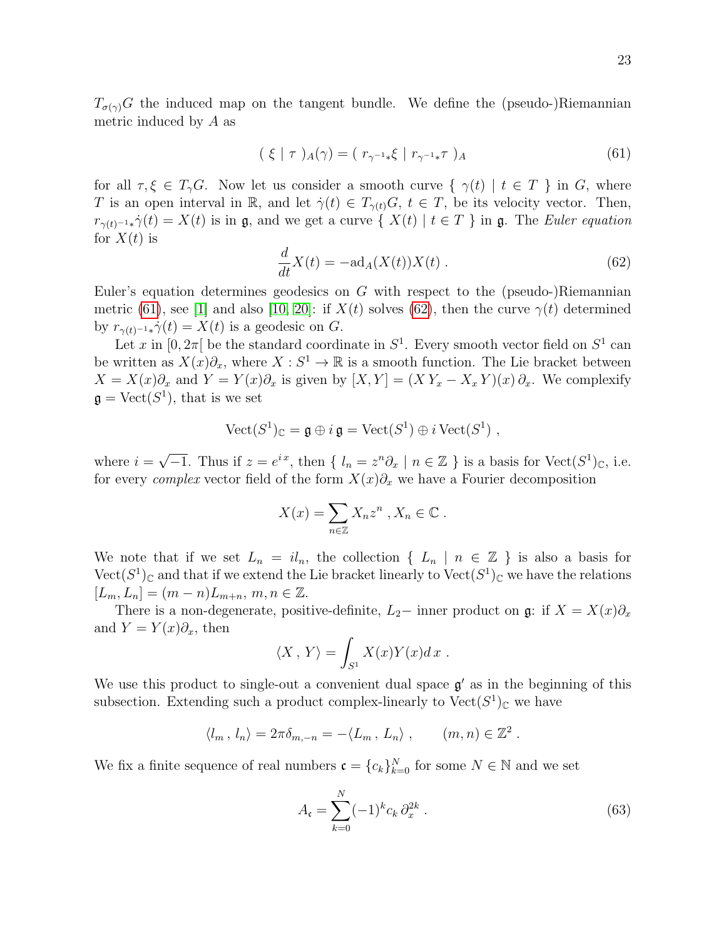$T_{\sigma(\gamma)}G$  the induced map on the tangent bundle. We define the (pseudo-)Riemannian metric induced by A as

<span id="page-23-0"></span>
$$
(\xi \mid \tau)_{A}(\gamma) = (r_{\gamma^{-1}*}\xi \mid r_{\gamma^{-1}*}\tau)_{A} \tag{61}
$$

for all  $\tau, \xi \in T_{\gamma}G$ . Now let us consider a smooth curve  $\{\gamma(t) \mid t \in T\}$  in G, where T is an open interval in R, and let  $\dot{\gamma}(t) \in T_{\gamma(t)}G$ ,  $t \in T$ , be its velocity vector. Then,  $r_{\gamma(t)^{-1}*}\dot{\gamma}(t) = X(t)$  is in g, and we get a curve  $\{X(t) | t \in T\}$  in g. The Euler equation for  $X(t)$  is

<span id="page-23-1"></span>
$$
\frac{d}{dt}X(t) = -\mathrm{ad}_A(X(t))X(t) . \tag{62}
$$

Euler's equation determines geodesics on  $G$  with respect to the (pseudo-)Riemannian metric [\(61\)](#page-23-0), see [\[1\]](#page-28-1) and also [\[10,](#page-29-3) [20\]](#page-29-0): if  $X(t)$  solves [\(62\)](#page-23-1), then the curve  $\gamma(t)$  determined by  $r_{\gamma(t)^{-1}*}\dot{\gamma}(t) = X(t)$  is a geodesic on G.

Let x in  $[0, 2\pi]$  be the standard coordinate in  $S^1$ . Every smooth vector field on  $S^1$  can be written as  $X(x)\partial_x$ , where  $X:S^1\to\mathbb{R}$  is a smooth function. The Lie bracket between  $X = X(x)\partial_x$  and  $Y = Y(x)\partial_x$  is given by  $[X, Y] = (XY_x - X_x Y)(x)\partial_x$ . We complexify  $\mathfrak{g} = \text{Vect}(S^1)$ , that is we set

$$
\mathrm{Vect}(S^1)_{\mathbb{C}} = \mathfrak{g} \oplus i \mathfrak{g} = \mathrm{Vect}(S^1) \oplus i \mathrm{Vect}(S^1) ,
$$

where  $i =$ √  $\overline{-1}$ . Thus if  $z = e^{ix}$ , then  $\{l_n = z^n \partial_x \mid n \in \mathbb{Z}\}$  is a basis for Vect $(S^1)_{\mathbb{C}}$ , i.e. for every *complex* vector field of the form  $X(x)\partial_x$  we have a Fourier decomposition

$$
X(x) = \sum_{n \in \mathbb{Z}} X_n z^n , X_n \in \mathbb{C} .
$$

We note that if we set  $L_n = il_n$ , the collection  $\{L_n | n \in \mathbb{Z}\}\$  is also a basis for  $Vect(S^1)<sub>C</sub>$  and that if we extend the Lie bracket linearly to  $Vect(S^1)<sub>C</sub>$  we have the relations  $[L_m, L_n] = (m - n)L_{m+n}, m, n \in \mathbb{Z}.$ 

There is a non-degenerate, positive-definite,  $L_2$  inner product on  $\mathfrak{g}$ : if  $X = X(x)\partial_x$ and  $Y = Y(x)\partial_x$ , then

$$
\langle X \, , \, Y \rangle = \int_{S^1} X(x) Y(x) dx \; .
$$

We use this product to single-out a convenient dual space  $g'$  as in the beginning of this subsection. Extending such a product complex-linearly to  $Vect(S^1)<sub>C</sub>$  we have

$$
\langle l_m, l_n \rangle = 2\pi \delta_{m,-n} = -\langle L_m, L_n \rangle
$$
,  $(m,n) \in \mathbb{Z}^2$ .

We fix a finite sequence of real numbers  $\mathfrak{c} = \{c_k\}_{k=0}^N$  for some  $N \in \mathbb{N}$  and we set

<span id="page-23-2"></span>
$$
A_{\mathfrak{c}} = \sum_{k=0}^{N} (-1)^k c_k \, \partial_x^{2k} \,. \tag{63}
$$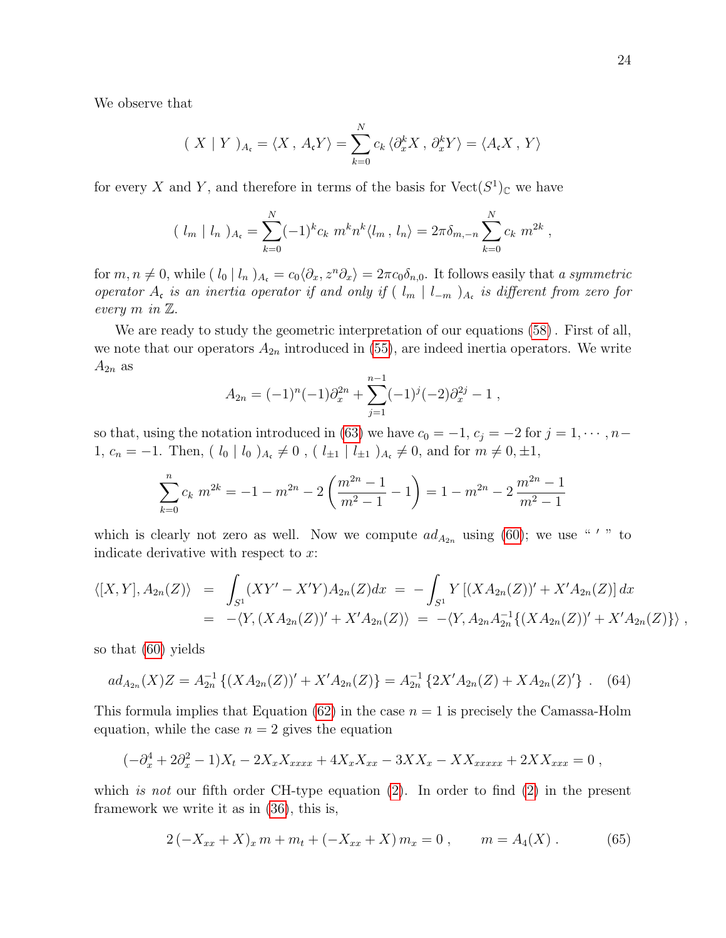We observe that

$$
(X \mid Y)_{A_{\mathfrak{c}}} = \langle X, A_{\mathfrak{c}} Y \rangle = \sum_{k=0}^{N} c_k \langle \partial_x^k X, \partial_x^k Y \rangle = \langle A_{\mathfrak{c}} X, Y \rangle
$$

for every X and Y, and therefore in terms of the basis for  $Vect(S^1)<sub>C</sub>$  we have

$$
(\ l_m \mid l_n)_{A_{\mathfrak{c}}} = \sum_{k=0}^{N} (-1)^k c_k \ m^k n^k \langle l_m \, , \, l_n \rangle = 2\pi \delta_{m,-n} \sum_{k=0}^{N} c_k \ m^{2k} \ ,
$$

for  $m, n \neq 0$ , while  $( \,l_0 \,|\, l_n \,)_{A_c} = c_0 \langle \partial_x, z^n \partial_x \rangle = 2\pi c_0 \delta_{n,0}$ . It follows easily that a symmetric operator  $A_c$  is an inertia operator if and only if  $(\lceil l_m \rceil \lceil l_{-m} \rceil)_{A_c}$  is different from zero for every m in Z.

We are ready to study the geometric interpretation of our equations [\(58\)](#page-22-0) . First of all, we note that our operators  $A_{2n}$  introduced in [\(55\)](#page-21-3), are indeed inertia operators. We write  $A_{2n}$  as

$$
A_{2n} = (-1)^n (-1) \partial_x^{2n} + \sum_{j=1}^{n-1} (-1)^j (-2) \partial_x^{2j} - 1,
$$

so that, using the notation introduced in [\(63\)](#page-23-2) we have  $c_0 = -1$ ,  $c_j = -2$  for  $j = 1, \dots, n-1$ 1,  $c_n = -1$ . Then, (  $l_0 \, | \, l_0 \rangle_{A_c} \neq 0$ , (  $l_{\pm 1} \, | \, l_{\pm 1} \rangle_{A_c} \neq 0$ , and for  $m \neq 0, \pm 1$ ,

$$
\sum_{k=0}^{n} c_k m^{2k} = -1 - m^{2n} - 2\left(\frac{m^{2n} - 1}{m^2 - 1} - 1\right) = 1 - m^{2n} - 2\frac{m^{2n} - 1}{m^2 - 1}
$$

which is clearly not zero as well. Now we compute  $ad_{A_{2n}}$  using [\(60\)](#page-22-1); we use "'" to indicate derivative with respect to x:

$$
\langle [X,Y], A_{2n}(Z) \rangle = \int_{S^1} (XY' - X'Y) A_{2n}(Z) dx = - \int_{S^1} Y \left[ (XA_{2n}(Z))' + X'A_{2n}(Z) \right] dx
$$
  
= -\langle Y, (XA\_{2n}(Z))' + X'A\_{2n}(Z) \rangle = -\langle Y, A\_{2n}A\_{2n}^{-1}\{(XA\_{2n}(Z))' + X'A\_{2n}(Z)\} \rangle,

so that [\(60\)](#page-22-1) yields

<span id="page-24-1"></span>
$$
ad_{A_{2n}}(X)Z = A_{2n}^{-1}\left\{ (XA_{2n}(Z))' + X'A_{2n}(Z) \right\} = A_{2n}^{-1}\left\{ 2X'A_{2n}(Z) + XA_{2n}(Z)'\right\} .
$$
 (64)

This formula implies that Equation [\(62\)](#page-23-1) in the case  $n = 1$  is precisely the Camassa-Holm equation, while the case  $n = 2$  gives the equation

$$
(-\partial_x^4 + 2\partial_x^2 - 1)X_t - 2X_x X_{xxxx} + 4X_x X_{xx} - 3XX_x - XX_{xxxx} + 2XX_{xxx} = 0,
$$

which is not our fifth order CH-type equation  $(2)$ . In order to find  $(2)$  in the present framework we write it as in [\(36\)](#page-13-1), this is,

<span id="page-24-0"></span>
$$
2(-X_{xx} + X)_x m + m_t + (-X_{xx} + X) m_x = 0, \qquad m = A_4(X). \tag{65}
$$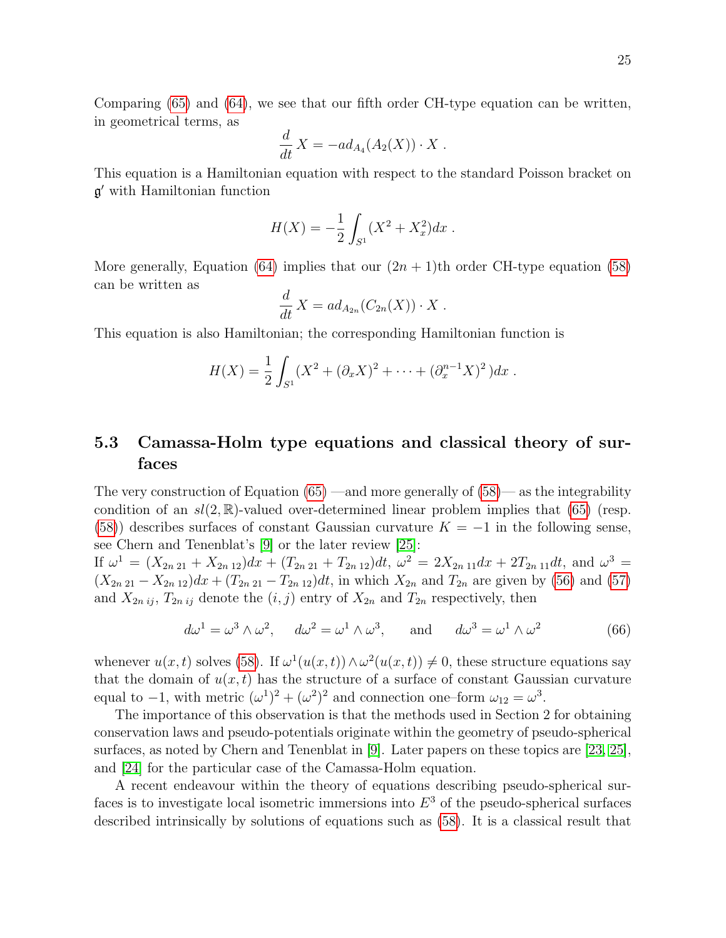Comparing [\(65\)](#page-24-0) and [\(64\)](#page-24-1), we see that our fifth order CH-type equation can be written, in geometrical terms, as

$$
\frac{d}{dt}X = -ad_{A_4}(A_2(X)) \cdot X.
$$

This equation is a Hamiltonian equation with respect to the standard Poisson bracket on g <sup>0</sup> with Hamiltonian function

$$
H(X) = -\frac{1}{2} \int_{S^1} (X^2 + X_x^2) dx.
$$

More generally, Equation [\(64\)](#page-24-1) implies that our  $(2n + 1)$ th order CH-type equation [\(58\)](#page-22-0) can be written as

$$
\frac{d}{dt} X = ad_{A_{2n}}(C_{2n}(X)) \cdot X .
$$

This equation is also Hamiltonian; the corresponding Hamiltonian function is

$$
H(X) = \frac{1}{2} \int_{S^1} (X^2 + (\partial_x X)^2 + \dots + (\partial_x^{n-1} X)^2) dx.
$$

### 5.3 Camassa-Holm type equations and classical theory of surfaces

The very construction of Equation  $(65)$  —and more generally of  $(58)$ — as the integrability condition of an  $sl(2,\mathbb{R})$ -valued over-determined linear problem implies that [\(65\)](#page-24-0) (resp. [\(58\)](#page-22-0)) describes surfaces of constant Gaussian curvature  $K = -1$  in the following sense, see Chern and Tenenblat's [\[9\]](#page-29-10) or the later review [\[25\]](#page-30-4):

If  $\omega^1 = (X_{2n\,21} + X_{2n\,12})dx + (T_{2n\,21} + T_{2n\,12})dt$ ,  $\omega^2 = 2X_{2n\,11}dx + 2T_{2n\,11}dt$ , and  $\omega^3 =$  $(X_{2n 21} - X_{2n 12})dx + (T_{2n 21} - T_{2n 12})dt$ , in which  $X_{2n}$  and  $T_{2n}$  are given by [\(56\)](#page-22-2) and [\(57\)](#page-22-3) and  $X_{2n i j}$ ,  $T_{2n i j}$  denote the  $(i, j)$  entry of  $X_{2n}$  and  $T_{2n}$  respectively, then

<span id="page-25-0"></span>
$$
d\omega^1 = \omega^3 \wedge \omega^2, \quad d\omega^2 = \omega^1 \wedge \omega^3, \quad \text{and} \quad d\omega^3 = \omega^1 \wedge \omega^2 \tag{66}
$$

whenever  $u(x, t)$  solves [\(58\)](#page-22-0). If  $\omega^1(u(x, t)) \wedge \omega^2(u(x, t)) \neq 0$ , these structure equations say that the domain of  $u(x, t)$  has the structure of a surface of constant Gaussian curvature equal to  $-1$ , with metric  $(\omega^1)^2 + (\omega^2)^2$  and connection one–form  $\omega_{12} = \omega^3$ .

The importance of this observation is that the methods used in Section 2 for obtaining conservation laws and pseudo-potentials originate within the geometry of pseudo-spherical surfaces, as noted by Chern and Tenenblat in [\[9\]](#page-29-10). Later papers on these topics are [\[23,](#page-29-11) [25\]](#page-30-4), and [\[24\]](#page-29-8) for the particular case of the Camassa-Holm equation.

A recent endeavour within the theory of equations describing pseudo-spherical surfaces is to investigate local isometric immersions into  $E<sup>3</sup>$  of the pseudo-spherical surfaces described intrinsically by solutions of equations such as [\(58\)](#page-22-0). It is a classical result that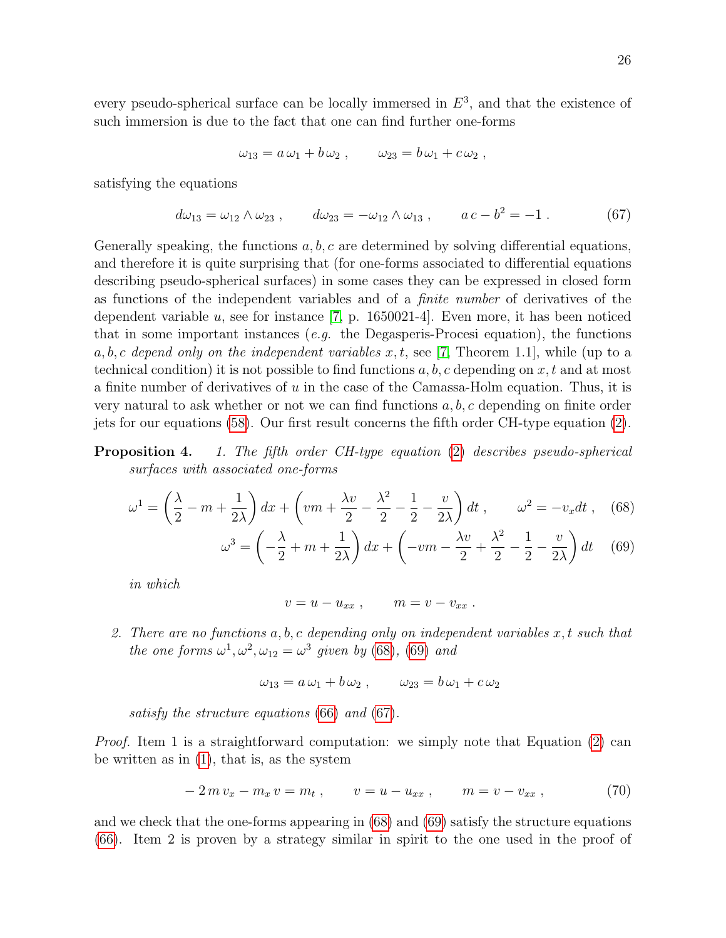every pseudo-spherical surface can be locally immersed in  $E^3$ , and that the existence of such immersion is due to the fact that one can find further one-forms

$$
\omega_{13} = a \omega_1 + b \omega_2 , \qquad \omega_{23} = b \omega_1 + c \omega_2 ,
$$

satisfying the equations

<span id="page-26-1"></span>
$$
d\omega_{13} = \omega_{12} \wedge \omega_{23} , \qquad d\omega_{23} = -\omega_{12} \wedge \omega_{13} , \qquad a c - b^2 = -1 . \tag{67}
$$

Generally speaking, the functions  $a, b, c$  are determined by solving differential equations, and therefore it is quite surprising that (for one-forms associated to differential equations describing pseudo-spherical surfaces) in some cases they can be expressed in closed form as functions of the independent variables and of a finite number of derivatives of the dependent variable u, see for instance  $(7, p. 1650021-4)$ . Even more, it has been noticed that in some important instances (*e.g.* the Degasperis-Procesi equation), the functions a, b, c depend only on the independent variables  $x, t$ , see [\[7,](#page-29-16) Theorem 1.1], while (up to a technical condition) it is not possible to find functions  $a, b, c$  depending on  $x, t$  and at most a finite number of derivatives of  $u$  in the case of the Camassa-Holm equation. Thus, it is very natural to ask whether or not we can find functions  $a, b, c$  depending on finite order jets for our equations [\(58\)](#page-22-0). Our first result concerns the fifth order CH-type equation [\(2\)](#page-3-3).

**Proposition 4.** 1. The fifth order CH-type equation [\(2\)](#page-3-3) describes pseudo-spherical surfaces with associated one-forms

<span id="page-26-0"></span>
$$
\omega^1 = \left(\frac{\lambda}{2} - m + \frac{1}{2\lambda}\right)dx + \left(vm + \frac{\lambda v}{2} - \frac{\lambda^2}{2} - \frac{1}{2} - \frac{v}{2\lambda}\right)dt, \qquad \omega^2 = -v_x dt, \quad (68)
$$

$$
\omega^3 = \left(-\frac{\lambda}{2} + m + \frac{1}{2\lambda}\right)dx + \left(-vm - \frac{\lambda v}{2} + \frac{\lambda^2}{2} - \frac{1}{2} - \frac{v}{2\lambda}\right)dt \tag{69}
$$

in which

$$
v = u - u_{xx} , \qquad m = v - v_{xx} .
$$

2. There are no functions  $a, b, c$  depending only on independent variables  $x, t$  such that the one forms  $\omega^1, \omega^2, \omega_{12} = \omega^3$  given by [\(68\)](#page-26-0), [\(69\)](#page-26-0) and

$$
\omega_{13} = a\,\omega_1 + b\,\omega_2 \ , \qquad \omega_{23} = b\,\omega_1 + c\,\omega_2
$$

satisfy the structure equations [\(66\)](#page-25-0) and [\(67\)](#page-26-1).

Proof. Item 1 is a straightforward computation: we simply note that Equation [\(2\)](#page-3-3) can be written as in [\(1\)](#page-3-0), that is, as the system

<span id="page-26-2"></span>
$$
-2\,m\,v_x - m_x\,v = m_t\,,\qquad v = u - u_{xx}\,,\qquad m = v - v_{xx}\,,\tag{70}
$$

and we check that the one-forms appearing in [\(68\)](#page-26-0) and [\(69\)](#page-26-0) satisfy the structure equations [\(66\)](#page-25-0). Item 2 is proven by a strategy similar in spirit to the one used in the proof of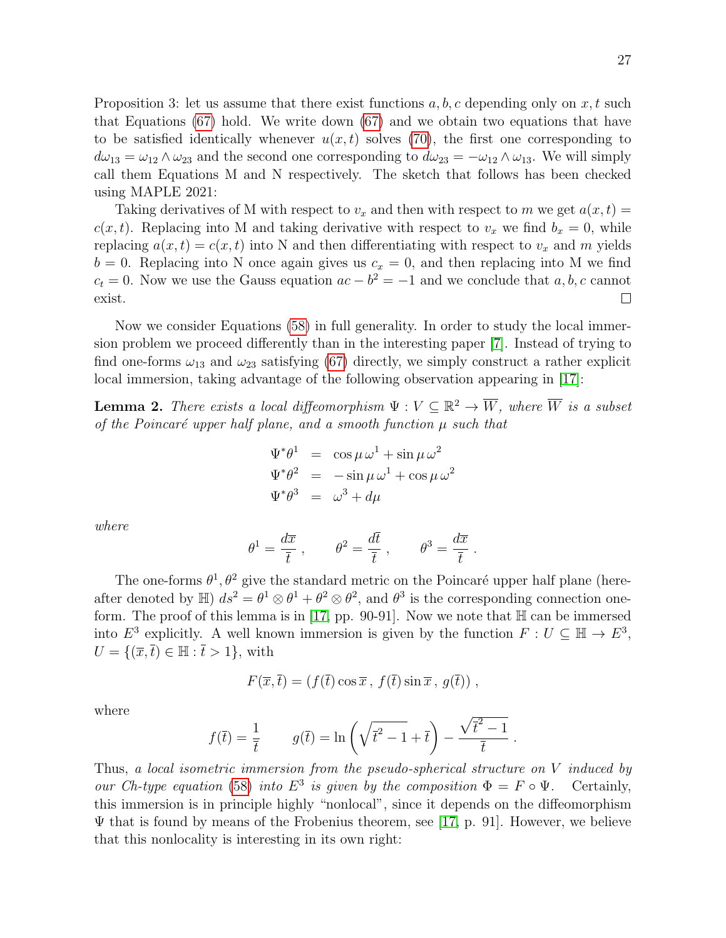Proposition 3: let us assume that there exist functions  $a, b, c$  depending only on  $x, t$  such that Equations [\(67\)](#page-26-1) hold. We write down [\(67\)](#page-26-1) and we obtain two equations that have to be satisfied identically whenever  $u(x, t)$  solves [\(70\)](#page-26-2), the first one corresponding to  $d\omega_{13} = \omega_{12} \wedge \omega_{23}$  and the second one corresponding to  $d\omega_{23} = -\omega_{12} \wedge \omega_{13}$ . We will simply call them Equations M and N respectively. The sketch that follows has been checked using MAPLE 2021:

Taking derivatives of M with respect to  $v_x$  and then with respect to m we get  $a(x, t) =$  $c(x, t)$ . Replacing into M and taking derivative with respect to  $v_x$  we find  $b_x = 0$ , while replacing  $a(x, t) = c(x, t)$  into N and then differentiating with respect to  $v_x$  and m yields  $b = 0$ . Replacing into N once again gives us  $c_x = 0$ , and then replacing into M we find  $c_t = 0$ . Now we use the Gauss equation  $ac - b^2 = -1$  and we conclude that  $a, b, c$  cannot exist.  $\Box$ 

Now we consider Equations [\(58\)](#page-22-0) in full generality. In order to study the local immersion problem we proceed differently than in the interesting paper [\[7\]](#page-29-16). Instead of trying to find one-forms  $\omega_{13}$  and  $\omega_{23}$  satisfying [\(67\)](#page-26-1) directly, we simply construct a rather explicit local immersion, taking advantage of the following observation appearing in [\[17\]](#page-29-17):

<span id="page-27-0"></span>**Lemma 2.** There exists a local diffeomorphism  $\Psi : V \subseteq \mathbb{R}^2 \to \overline{W}$ , where  $\overline{W}$  is a subset of the Poincaré upper half plane, and a smooth function  $\mu$  such that

$$
\Psi^*\theta^1 = \cos \mu \omega^1 + \sin \mu \omega^2
$$
  

$$
\Psi^*\theta^2 = -\sin \mu \omega^1 + \cos \mu \omega^2
$$
  

$$
\Psi^*\theta^3 = \omega^3 + d\mu
$$

where

$$
\theta^1 = \frac{d\overline{x}}{\overline{t}}, \qquad \theta^2 = \frac{d\overline{t}}{\overline{t}}, \qquad \theta^3 = \frac{d\overline{x}}{\overline{t}}.
$$

The one-forms  $\theta^1$ ,  $\theta^2$  give the standard metric on the Poincaré upper half plane (hereafter denoted by  $\mathbb{H}$ )  $ds^2 = \theta^1 \otimes \theta^1 + \theta^2 \otimes \theta^2$ , and  $\theta^3$  is the corresponding connection one-form. The proof of this lemma is in [\[17,](#page-29-17) pp. 90-91]. Now we note that  $\mathbb H$  can be immersed into  $E^3$  explicitly. A well known immersion is given by the function  $F: U \subseteq \mathbb{H} \to E^3$ ,  $U = \{(\overline{x}, \overline{t}) \in \mathbb{H} : \overline{t} > 1\},\$  with

$$
F(\overline{x}, \overline{t}) = (f(\overline{t}) \cos \overline{x}, f(\overline{t}) \sin \overline{x}, g(\overline{t})),
$$

where

$$
f(\overline{t}) = \frac{1}{\overline{t}} \qquad g(\overline{t}) = \ln\left(\sqrt{\overline{t}^2 - 1} + \overline{t}\right) - \frac{\sqrt{\overline{t}^2 - 1}}{\overline{t}}.
$$

Thus, a local isometric immersion from the pseudo-spherical structure on V induced by our Ch-type equation [\(58\)](#page-22-0) into  $E^3$  is given by the composition  $\Phi = F \circ \Psi$ . Certainly, this immersion is in principle highly "nonlocal", since it depends on the diffeomorphism  $\Psi$  that is found by means of the Frobenius theorem, see [\[17,](#page-29-17) p. 91]. However, we believe that this nonlocality is interesting in its own right: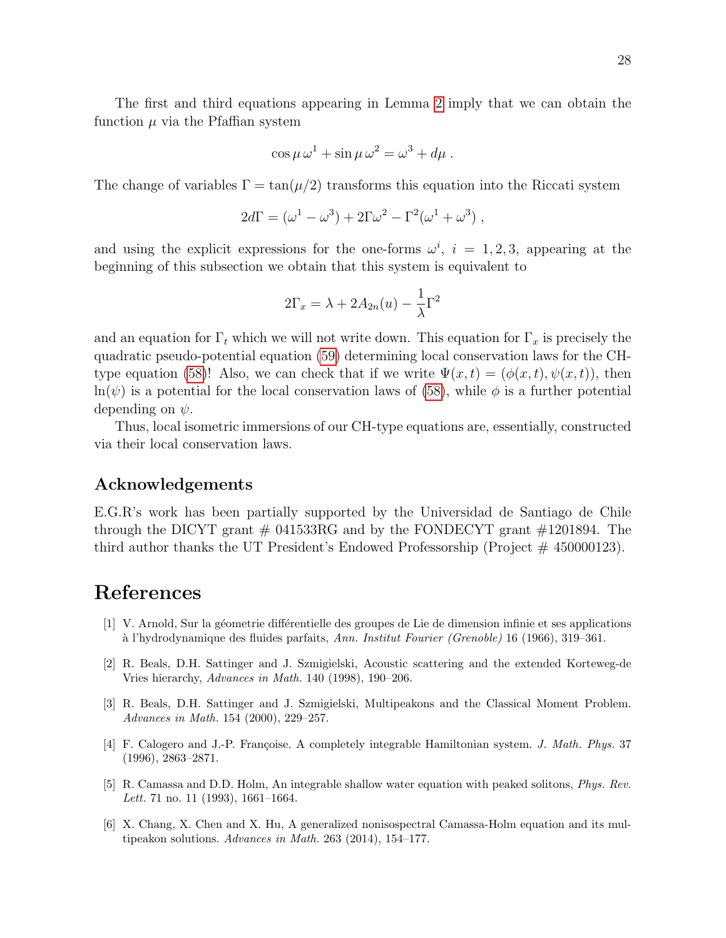The first and third equations appearing in Lemma [2](#page-27-0) imply that we can obtain the function  $\mu$  via the Pfaffian system

$$
\cos \mu \,\omega^1 + \sin \mu \,\omega^2 = \omega^3 + d\mu \; .
$$

The change of variables  $\Gamma = \tan(\mu/2)$  transforms this equation into the Riccati system

$$
2d\Gamma = (\omega^1 - \omega^3) + 2\Gamma\omega^2 - \Gamma^2(\omega^1 + \omega^3) ,
$$

and using the explicit expressions for the one-forms  $\omega^i$ ,  $i = 1, 2, 3$ , appearing at the beginning of this subsection we obtain that this system is equivalent to

$$
2\Gamma_x = \lambda + 2A_{2n}(u) - \frac{1}{\lambda}\Gamma^2
$$

and an equation for  $\Gamma_t$  which we will not write down. This equation for  $\Gamma_x$  is precisely the quadratic pseudo-potential equation [\(59\)](#page-22-4) determining local conservation laws for the CH-type equation [\(58\)](#page-22-0)! Also, we can check that if we write  $\Psi(x,t) = (\phi(x,t), \psi(x,t))$ , then  $ln(\psi)$  is a potential for the local conservation laws of [\(58\)](#page-22-0), while  $\phi$  is a further potential depending on  $\psi$ .

Thus, local isometric immersions of our CH-type equations are, essentially, constructed via their local conservation laws.

#### Acknowledgements

E.G.R's work has been partially supported by the Universidad de Santiago de Chile through the DICYT grant  $\#$  041533RG and by the FONDECYT grant  $\#1201894$ . The third author thanks the UT President's Endowed Professorship (Project  $#$  450000123).

### References

- <span id="page-28-1"></span>[1] V. Arnold, Sur la géometrie différentielle des groupes de Lie de dimension infinie et ses applications `a l'hydrodynamique des fluides parfaits, Ann. Institut Fourier (Grenoble) 16 (1966), 319–361.
- <span id="page-28-2"></span>[2] R. Beals, D.H. Sattinger and J. Szmigielski, Acoustic scattering and the extended Korteweg-de Vries hierarchy, Advances in Math. 140 (1998), 190–206.
- <span id="page-28-4"></span>[3] R. Beals, D.H. Sattinger and J. Szmigielski, Multipeakons and the Classical Moment Problem. Advances in Math. 154 (2000), 229–257.
- <span id="page-28-3"></span>[4] F. Calogero and J.-P. Françoise. A completely integrable Hamiltonian system. J. Math. Phys. 37 (1996), 2863–2871.
- <span id="page-28-0"></span>[5] R. Camassa and D.D. Holm, An integrable shallow water equation with peaked solitons, Phys. Rev. Lett. 71 no. 11 (1993), 1661–1664.
- <span id="page-28-5"></span>[6] X. Chang, X. Chen and X. Hu, A generalized nonisospectral Camassa-Holm equation and its multipeakon solutions. Advances in Math. 263 (2014), 154–177.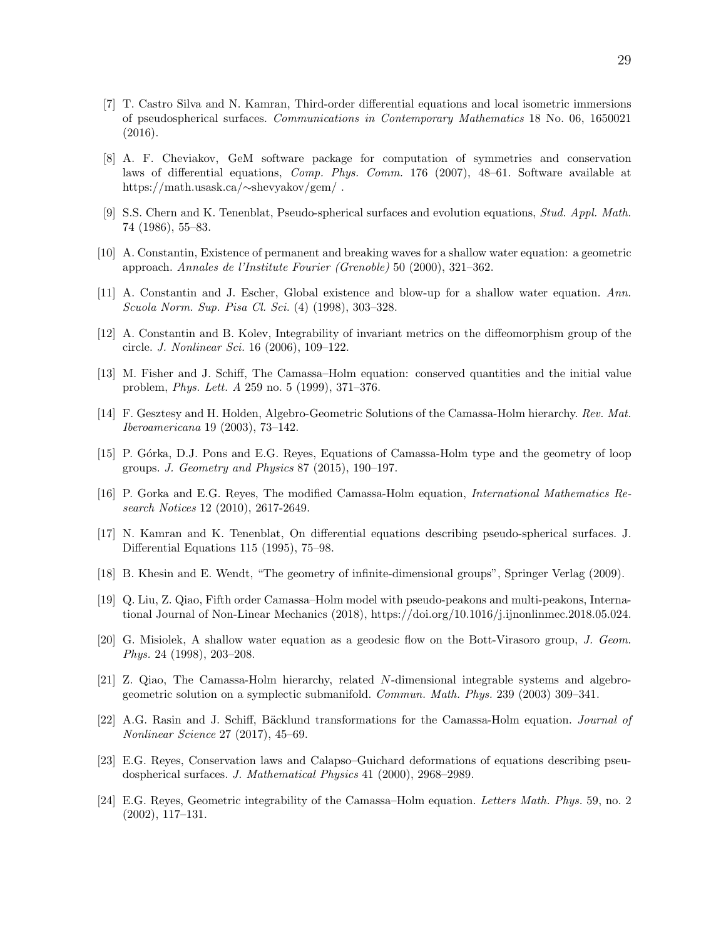- <span id="page-29-16"></span>[7] T. Castro Silva and N. Kamran, Third-order differential equations and local isometric immersions of pseudospherical surfaces. Communications in Contemporary Mathematics 18 No. 06, 1650021 (2016).
- <span id="page-29-14"></span>[8] A. F. Cheviakov, GeM software package for computation of symmetries and conservation laws of differential equations, Comp. Phys. Comm. 176 (2007), 48–61. Software available at https://math.usask.ca/∼shevyakov/gem/ .
- <span id="page-29-10"></span>[9] S.S. Chern and K. Tenenblat, Pseudo-spherical surfaces and evolution equations, Stud. Appl. Math. 74 (1986), 55–83.
- <span id="page-29-3"></span>[10] A. Constantin, Existence of permanent and breaking waves for a shallow water equation: a geometric approach. Annales de l'Institute Fourier (Grenoble) 50 (2000), 321–362.
- <span id="page-29-15"></span>[11] A. Constantin and J. Escher, Global existence and blow-up for a shallow water equation. Ann. Scuola Norm. Sup. Pisa Cl. Sci. (4) (1998), 303–328.
- <span id="page-29-4"></span>[12] A. Constantin and B. Kolev, Integrability of invariant metrics on the diffeomorphism group of the circle. J. Nonlinear Sci. 16 (2006), 109–122.
- <span id="page-29-13"></span>[13] M. Fisher and J. Schiff, The Camassa–Holm equation: conserved quantities and the initial value problem, Phys. Lett. A 259 no. 5 (1999), 371–376.
- <span id="page-29-5"></span>[14] F. Gesztesy and H. Holden, Algebro-Geometric Solutions of the Camassa-Holm hierarchy. Rev. Mat. Iberoamericana 19 (2003), 73–142.
- <span id="page-29-2"></span>[15] P. Górka, D.J. Pons and E.G. Reyes, Equations of Camassa-Holm type and the geometry of loop groups. J. Geometry and Physics 87 (2015), 190–197.
- <span id="page-29-12"></span>[16] P. Gorka and E.G. Reyes, The modified Camassa-Holm equation, International Mathematics Research Notices 12 (2010), 2617-2649.
- <span id="page-29-17"></span>[17] N. Kamran and K. Tenenblat, On differential equations describing pseudo-spherical surfaces. J. Differential Equations 115 (1995), 75–98.
- <span id="page-29-1"></span>[18] B. Khesin and E. Wendt, "The geometry of infinite-dimensional groups", Springer Verlag (2009).
- <span id="page-29-9"></span>[19] Q. Liu, Z. Qiao, Fifth order Camassa–Holm model with pseudo-peakons and multi-peakons, International Journal of Non-Linear Mechanics (2018), https://doi.org/10.1016/j.ijnonlinmec.2018.05.024.
- <span id="page-29-0"></span>[20] G. Misiolek, A shallow water equation as a geodesic flow on the Bott-Virasoro group, J. Geom. Phys. 24 (1998), 203–208.
- <span id="page-29-6"></span>[21] Z. Qiao, The Camassa-Holm hierarchy, related N-dimensional integrable systems and algebrogeometric solution on a symplectic submanifold. Commun. Math. Phys. 239 (2003) 309–341.
- <span id="page-29-7"></span>[22] A.G. Rasin and J. Schiff, Bäcklund transformations for the Camassa-Holm equation. *Journal of* Nonlinear Science 27 (2017), 45–69.
- <span id="page-29-11"></span>[23] E.G. Reyes, Conservation laws and Calapso–Guichard deformations of equations describing pseudospherical surfaces. J. Mathematical Physics 41 (2000), 2968–2989.
- <span id="page-29-8"></span>[24] E.G. Reyes, Geometric integrability of the Camassa–Holm equation. Letters Math. Phys. 59, no. 2 (2002), 117–131.